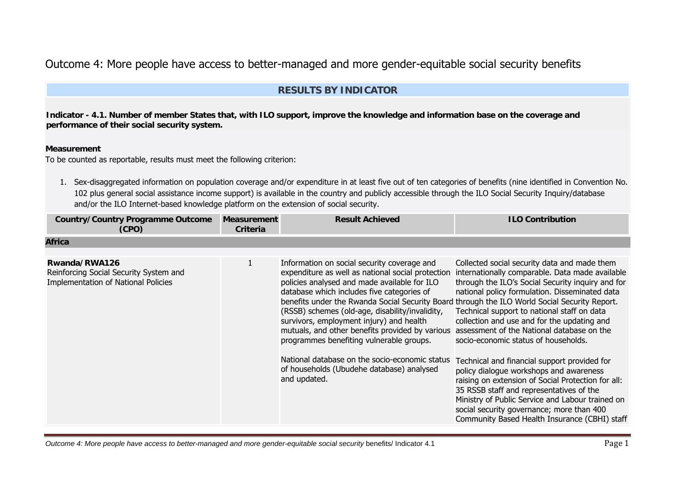# Outcome 4: More people have access to better-managed and more gender-equitable social security benefits

# **RESULTS BY INDICATOR**

**Indicator - 4.1. Number of member States that, with ILO support, improve the knowledge and information base on the coverage and performance of their social security system.**

#### **Measurement**

To be counted as reportable, results must meet the following criterion:

1. Sex-disaggregated information on population coverage and/or expenditure in at least five out of ten categories of benefits (nine identified in Convention No. 102 plus general social assistance income support) is available in the country and publicly accessible through the ILO Social Security Inquiry/database and/or the ILO Internet-based knowledge platform on the extension of social security.

| <b>Country/Country Programme Outcome</b><br>(CPO)                                              | <b>Measurement</b><br>Criteria | <b>Result Achieved</b>                                                                                                                                                                                                                                                                                                                                                                                                                                                                                                                                                                                       | <b>ILO Contribution</b>                                                                                                                                                                                                                                                                                                                                                                                                                                                                                                                                                                                                                                                                                                                   |
|------------------------------------------------------------------------------------------------|--------------------------------|--------------------------------------------------------------------------------------------------------------------------------------------------------------------------------------------------------------------------------------------------------------------------------------------------------------------------------------------------------------------------------------------------------------------------------------------------------------------------------------------------------------------------------------------------------------------------------------------------------------|-------------------------------------------------------------------------------------------------------------------------------------------------------------------------------------------------------------------------------------------------------------------------------------------------------------------------------------------------------------------------------------------------------------------------------------------------------------------------------------------------------------------------------------------------------------------------------------------------------------------------------------------------------------------------------------------------------------------------------------------|
| <b>Africa</b>                                                                                  |                                |                                                                                                                                                                                                                                                                                                                                                                                                                                                                                                                                                                                                              |                                                                                                                                                                                                                                                                                                                                                                                                                                                                                                                                                                                                                                                                                                                                           |
| Rwanda/RWA126<br>Reinforcing Social Security System and<br>Implementation of National Policies |                                | Information on social security coverage and<br>expenditure as well as national social protection<br>policies analysed and made available for ILO<br>database which includes five categories of<br>benefits under the Rwanda Social Security Board through the ILO World Social Security Report.<br>(RSSB) schemes (old-age, disability/invalidity,<br>survivors, employment injury) and health<br>mutuals, and other benefits provided by various<br>programmes benefiting vulnerable groups.<br>National database on the socio-economic status<br>of households (Ubudehe database) analysed<br>and updated. | Collected social security data and made them<br>internationally comparable. Data made available<br>through the ILO's Social Security inquiry and for<br>national policy formulation. Disseminated data<br>Technical support to national staff on data<br>collection and use and for the updating and<br>assessment of the National database on the<br>socio-economic status of households.<br>Technical and financial support provided for<br>policy dialogue workshops and awareness<br>raising on extension of Social Protection for all:<br>35 RSSB staff and representatives of the<br>Ministry of Public Service and Labour trained on<br>social security governance; more than 400<br>Community Based Health Insurance (CBHI) staff |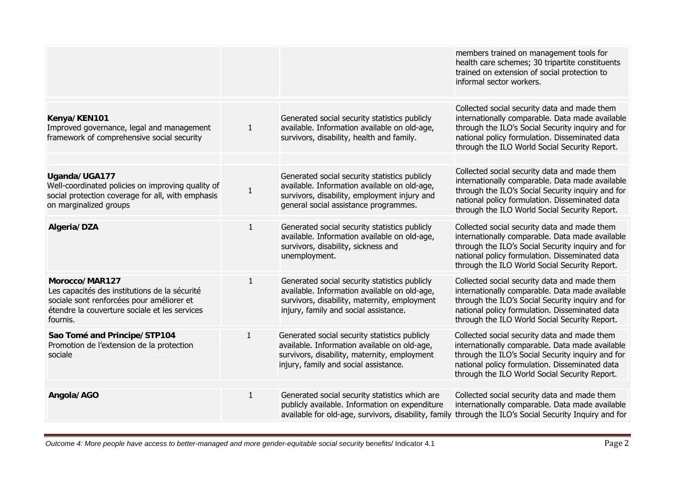|                                                                                                                                                                           |              |                                                                                                                                                                                        | members trained on management tools for<br>health care schemes; 30 tripartite constituents<br>trained on extension of social protection to<br>informal sector workers.                                                                                  |
|---------------------------------------------------------------------------------------------------------------------------------------------------------------------------|--------------|----------------------------------------------------------------------------------------------------------------------------------------------------------------------------------------|---------------------------------------------------------------------------------------------------------------------------------------------------------------------------------------------------------------------------------------------------------|
| Kenya/KEN101<br>Improved governance, legal and management<br>framework of comprehensive social security                                                                   | $\mathbf{1}$ | Generated social security statistics publicly<br>available. Information available on old-age,<br>survivors, disability, health and family.                                             | Collected social security data and made them<br>internationally comparable. Data made available<br>through the ILO's Social Security inquiry and for<br>national policy formulation. Disseminated data<br>through the ILO World Social Security Report. |
| Uganda/UGA177<br>Well-coordinated policies on improving quality of<br>social protection coverage for all, with emphasis<br>on marginalized groups                         | $\mathbf 1$  | Generated social security statistics publicly<br>available. Information available on old-age,<br>survivors, disability, employment injury and<br>general social assistance programmes. | Collected social security data and made them<br>internationally comparable. Data made available<br>through the ILO's Social Security inquiry and for<br>national policy formulation. Disseminated data<br>through the ILO World Social Security Report. |
| Algeria/DZA                                                                                                                                                               | $\mathbf{1}$ | Generated social security statistics publicly<br>available. Information available on old-age,<br>survivors, disability, sickness and<br>unemployment.                                  | Collected social security data and made them<br>internationally comparable. Data made available<br>through the ILO's Social Security inquiry and for<br>national policy formulation. Disseminated data<br>through the ILO World Social Security Report. |
| Morocco/MAR127<br>Les capacités des institutions de la sécurité<br>sociale sont renforcées pour améliorer et<br>étendre la couverture sociale et les services<br>fournis. | $\mathbf{1}$ | Generated social security statistics publicly<br>available. Information available on old-age,<br>survivors, disability, maternity, employment<br>injury, family and social assistance. | Collected social security data and made them<br>internationally comparable. Data made available<br>through the ILO's Social Security inquiry and for<br>national policy formulation. Disseminated data<br>through the ILO World Social Security Report. |
| Sao Tomé and Principe/STP104<br>Promotion de l'extension de la protection<br>sociale                                                                                      | $\mathbf{1}$ | Generated social security statistics publicly<br>available. Information available on old-age,<br>survivors, disability, maternity, employment<br>injury, family and social assistance. | Collected social security data and made them<br>internationally comparable. Data made available<br>through the ILO's Social Security inquiry and for<br>national policy formulation. Disseminated data<br>through the ILO World Social Security Report. |
| Angola/AGO                                                                                                                                                                | $\mathbf{1}$ | Generated social security statistics which are<br>publicly available. Information on expenditure<br>available for old-age, survivors, disability, family                               | Collected social security data and made them<br>internationally comparable. Data made available<br>through the ILO's Social Security Inquiry and for                                                                                                    |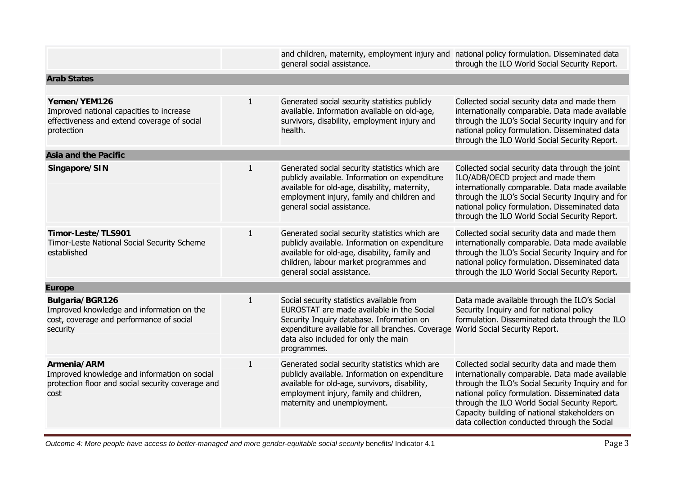|                                                                                                                          |              | and children, maternity, employment injury and national policy formulation. Disseminated data<br>general social assistance.                                                                                                                    | through the ILO World Social Security Report.                                                                                                                                                                                                                                                                                                            |
|--------------------------------------------------------------------------------------------------------------------------|--------------|------------------------------------------------------------------------------------------------------------------------------------------------------------------------------------------------------------------------------------------------|----------------------------------------------------------------------------------------------------------------------------------------------------------------------------------------------------------------------------------------------------------------------------------------------------------------------------------------------------------|
| <b>Arab States</b>                                                                                                       |              |                                                                                                                                                                                                                                                |                                                                                                                                                                                                                                                                                                                                                          |
| Yemen/YEM126<br>Improved national capacities to increase<br>effectiveness and extend coverage of social<br>protection    | $\mathbf{1}$ | Generated social security statistics publicly<br>available. Information available on old-age,<br>survivors, disability, employment injury and<br>health.                                                                                       | Collected social security data and made them<br>internationally comparable. Data made available<br>through the ILO's Social Security inquiry and for<br>national policy formulation. Disseminated data<br>through the ILO World Social Security Report.                                                                                                  |
| <b>Asia and the Pacific</b>                                                                                              |              |                                                                                                                                                                                                                                                |                                                                                                                                                                                                                                                                                                                                                          |
| Singapore/SIN                                                                                                            | $\mathbf{1}$ | Generated social security statistics which are<br>publicly available. Information on expenditure<br>available for old-age, disability, maternity,<br>employment injury, family and children and<br>general social assistance.                  | Collected social security data through the joint<br>ILO/ADB/OECD project and made them<br>internationally comparable. Data made available<br>through the ILO's Social Security Inquiry and for<br>national policy formulation. Disseminated data<br>through the ILO World Social Security Report.                                                        |
| Timor-Leste/TLS901<br>Timor-Leste National Social Security Scheme<br>established                                         | $\mathbf{1}$ | Generated social security statistics which are<br>publicly available. Information on expenditure<br>available for old-age, disability, family and<br>children, labour market programmes and<br>general social assistance.                      | Collected social security data and made them<br>internationally comparable. Data made available<br>through the ILO's Social Security Inquiry and for<br>national policy formulation. Disseminated data<br>through the ILO World Social Security Report.                                                                                                  |
| <b>Europe</b>                                                                                                            |              |                                                                                                                                                                                                                                                |                                                                                                                                                                                                                                                                                                                                                          |
| Bulgaria/BGR126<br>Improved knowledge and information on the<br>cost, coverage and performance of social<br>security     | $\mathbf{1}$ | Social security statistics available from<br>EUROSTAT are made available in the Social<br>Security Inquiry database. Information on<br>expenditure available for all branches. Coverage<br>data also included for only the main<br>programmes. | Data made available through the ILO's Social<br>Security Inquiry and for national policy<br>formulation. Disseminated data through the ILO<br>World Social Security Report.                                                                                                                                                                              |
| Armenia/ARM<br>Improved knowledge and information on social<br>protection floor and social security coverage and<br>cost | $\mathbf{1}$ | Generated social security statistics which are<br>publicly available. Information on expenditure<br>available for old-age, survivors, disability,<br>employment injury, family and children,<br>maternity and unemployment.                    | Collected social security data and made them<br>internationally comparable. Data made available<br>through the ILO's Social Security Inquiry and for<br>national policy formulation. Disseminated data<br>through the ILO World Social Security Report.<br>Capacity building of national stakeholders on<br>data collection conducted through the Social |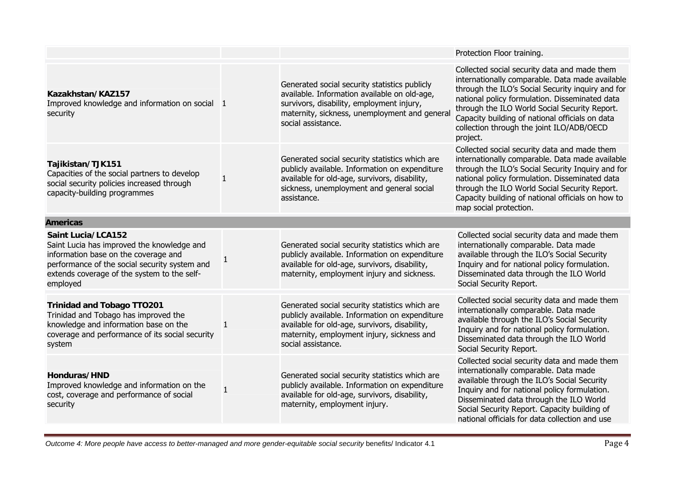|                                                                                                                                                                                                                             |              |                                                                                                                                                                                                                       | Protection Floor training.                                                                                                                                                                                                                                                                                                                                          |
|-----------------------------------------------------------------------------------------------------------------------------------------------------------------------------------------------------------------------------|--------------|-----------------------------------------------------------------------------------------------------------------------------------------------------------------------------------------------------------------------|---------------------------------------------------------------------------------------------------------------------------------------------------------------------------------------------------------------------------------------------------------------------------------------------------------------------------------------------------------------------|
| Kazakhstan/KAZ157<br>Improved knowledge and information on social 1<br>security                                                                                                                                             |              | Generated social security statistics publicly<br>available. Information available on old-age,<br>survivors, disability, employment injury,<br>maternity, sickness, unemployment and general<br>social assistance.     | Collected social security data and made them<br>internationally comparable. Data made available<br>through the ILO's Social Security inquiry and for<br>national policy formulation. Disseminated data<br>through the ILO World Social Security Report.<br>Capacity building of national officials on data<br>collection through the joint ILO/ADB/OECD<br>project. |
| Tajikistan/TJK151<br>Capacities of the social partners to develop<br>social security policies increased through<br>capacity-building programmes                                                                             | 1            | Generated social security statistics which are<br>publicly available. Information on expenditure<br>available for old-age, survivors, disability,<br>sickness, unemployment and general social<br>assistance.         | Collected social security data and made them<br>internationally comparable. Data made available<br>through the ILO's Social Security Inquiry and for<br>national policy formulation. Disseminated data<br>through the ILO World Social Security Report.<br>Capacity building of national officials on how to<br>map social protection.                              |
| <b>Americas</b>                                                                                                                                                                                                             |              |                                                                                                                                                                                                                       |                                                                                                                                                                                                                                                                                                                                                                     |
| <b>Saint Lucia/LCA152</b><br>Saint Lucia has improved the knowledge and<br>information base on the coverage and<br>performance of the social security system and<br>extends coverage of the system to the self-<br>employed | 1            | Generated social security statistics which are<br>publicly available. Information on expenditure<br>available for old-age, survivors, disability,<br>maternity, employment injury and sickness.                       | Collected social security data and made them<br>internationally comparable. Data made<br>available through the ILO's Social Security<br>Inquiry and for national policy formulation.<br>Disseminated data through the ILO World<br>Social Security Report.                                                                                                          |
| <b>Trinidad and Tobago TTO201</b><br>Trinidad and Tobago has improved the<br>knowledge and information base on the<br>coverage and performance of its social security<br>system                                             | $\mathbf{1}$ | Generated social security statistics which are<br>publicly available. Information on expenditure<br>available for old-age, survivors, disability,<br>maternity, employment injury, sickness and<br>social assistance. | Collected social security data and made them<br>internationally comparable. Data made<br>available through the ILO's Social Security<br>Inquiry and for national policy formulation.<br>Disseminated data through the ILO World<br>Social Security Report.                                                                                                          |
| Honduras/HND<br>Improved knowledge and information on the<br>cost, coverage and performance of social<br>security                                                                                                           | $\mathbf{1}$ | Generated social security statistics which are<br>publicly available. Information on expenditure<br>available for old-age, survivors, disability,<br>maternity, employment injury.                                    | Collected social security data and made them<br>internationally comparable. Data made<br>available through the ILO's Social Security<br>Inquiry and for national policy formulation.<br>Disseminated data through the ILO World<br>Social Security Report. Capacity building of<br>national officials for data collection and use                                   |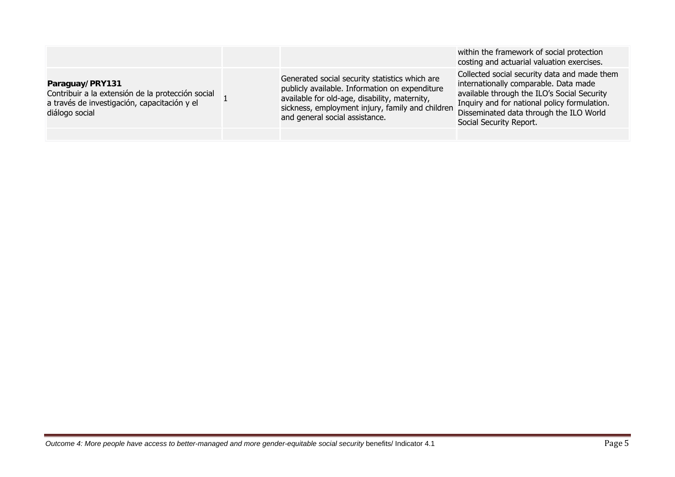|                                                                                                                                        |                                                                                                                                                                                                                                         | within the framework of social protection<br>costing and actuarial valuation exercises.                                                                                                                                                                    |
|----------------------------------------------------------------------------------------------------------------------------------------|-----------------------------------------------------------------------------------------------------------------------------------------------------------------------------------------------------------------------------------------|------------------------------------------------------------------------------------------------------------------------------------------------------------------------------------------------------------------------------------------------------------|
| Paraguay/PRY131<br>Contribuir a la extensión de la protección social<br>a través de investigación, capacitación y el<br>diálogo social | Generated social security statistics which are<br>publicly available. Information on expenditure<br>available for old-age, disability, maternity,<br>sickness, employment injury, family and children<br>and general social assistance. | Collected social security data and made them<br>internationally comparable. Data made<br>available through the ILO's Social Security<br>Inquiry and for national policy formulation.<br>Disseminated data through the ILO World<br>Social Security Report. |
|                                                                                                                                        |                                                                                                                                                                                                                                         |                                                                                                                                                                                                                                                            |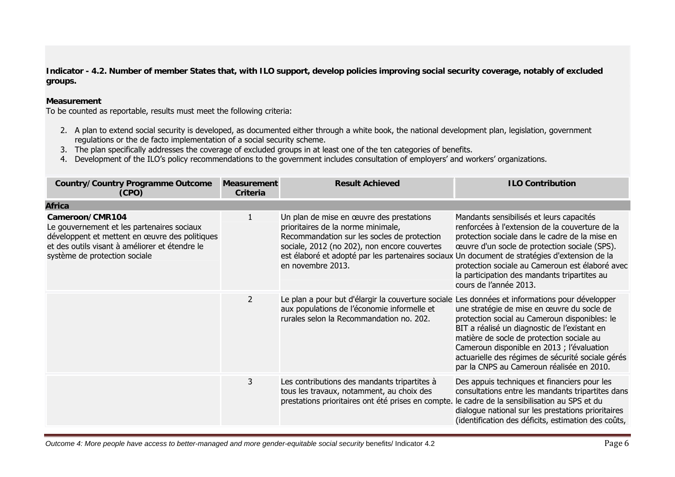**Indicator - 4.2. Number of member States that, with ILO support, develop policies improving social security coverage, notably of excluded groups.**

### **Measurement**

To be counted as reportable, results must meet the following criteria:

- 2. A plan to extend social security is developed, as documented either through a white book, the national development plan, legislation, government regulations or the de facto implementation of a social security scheme.
- 3. The plan specifically addresses the coverage of excluded groups in at least one of the ten categories of benefits.
- 4. Development of the ILO's policy recommendations to the government includes consultation of employers' and workers' organizations.

| <b>Country/Country Programme Outcome</b><br>(CPO)                                                                                                                                                  | <b>Measurement</b><br>Criteria | <b>Result Achieved</b>                                                                                                                                                                                                                                                                              | <b>ILO Contribution</b>                                                                                                                                                                                                                                                                                                                  |
|----------------------------------------------------------------------------------------------------------------------------------------------------------------------------------------------------|--------------------------------|-----------------------------------------------------------------------------------------------------------------------------------------------------------------------------------------------------------------------------------------------------------------------------------------------------|------------------------------------------------------------------------------------------------------------------------------------------------------------------------------------------------------------------------------------------------------------------------------------------------------------------------------------------|
| <b>Africa</b>                                                                                                                                                                                      |                                |                                                                                                                                                                                                                                                                                                     |                                                                                                                                                                                                                                                                                                                                          |
| Cameroon/CMR104<br>Le gouvernement et les partenaires sociaux<br>développent et mettent en œuvre des politiques<br>et des outils visant à améliorer et étendre le<br>système de protection sociale |                                | Un plan de mise en œuvre des prestations<br>prioritaires de la norme minimale,<br>Recommandation sur les socles de protection<br>sociale, 2012 (no 202), non encore couvertes<br>est élaboré et adopté par les partenaires sociaux Un document de stratégies d'extension de la<br>en novembre 2013. | Mandants sensibilisés et leurs capacités<br>renforcées à l'extension de la couverture de la<br>protection sociale dans le cadre de la mise en<br>œuvre d'un socle de protection sociale (SPS).<br>protection sociale au Cameroun est élaboré avec<br>la participation des mandants tripartites au<br>cours de l'année 2013.              |
|                                                                                                                                                                                                    | $\overline{2}$                 | Le plan a pour but d'élargir la couverture sociale Les données et informations pour développer<br>aux populations de l'économie informelle et<br>rurales selon la Recommandation no. 202.                                                                                                           | une stratégie de mise en œuvre du socle de<br>protection social au Cameroun disponibles: le<br>BIT a réalisé un diagnostic de l'existant en<br>matière de socle de protection sociale au<br>Cameroun disponible en 2013 ; l'évaluation<br>actuarielle des régimes de sécurité sociale gérés<br>par la CNPS au Cameroun réalisée en 2010. |
|                                                                                                                                                                                                    | 3                              | Les contributions des mandants tripartites à<br>tous les travaux, notamment, au choix des<br>prestations prioritaires ont été prises en compte.                                                                                                                                                     | Des appuis techniques et financiers pour les<br>consultations entre les mandants tripartites dans<br>le cadre de la sensibilisation au SPS et du<br>dialogue national sur les prestations prioritaires<br>(identification des déficits, estimation des coûts,                                                                            |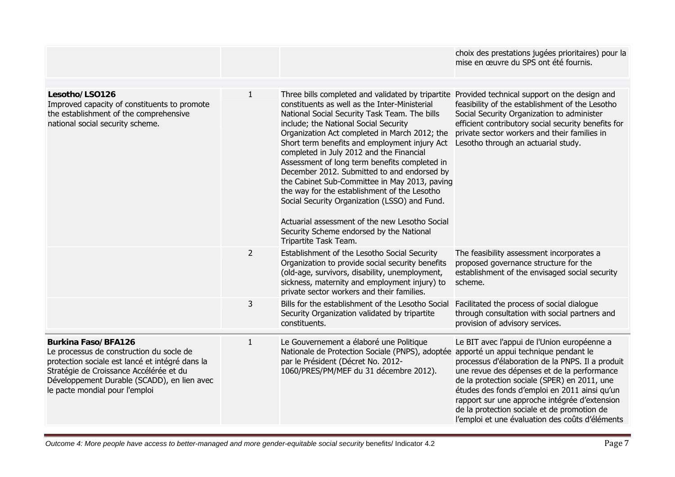|                                                                                                                                                                                                                                                       |                |                                                                                                                                                                                                                                                                                                                                                                                                                                                                                                                                                                                                                                                                                                                                                                  | choix des prestations jugées prioritaires) pour la<br>mise en œuvre du SPS ont été fournis.                                                                                                                                                                                                                                                                                                                                                 |
|-------------------------------------------------------------------------------------------------------------------------------------------------------------------------------------------------------------------------------------------------------|----------------|------------------------------------------------------------------------------------------------------------------------------------------------------------------------------------------------------------------------------------------------------------------------------------------------------------------------------------------------------------------------------------------------------------------------------------------------------------------------------------------------------------------------------------------------------------------------------------------------------------------------------------------------------------------------------------------------------------------------------------------------------------------|---------------------------------------------------------------------------------------------------------------------------------------------------------------------------------------------------------------------------------------------------------------------------------------------------------------------------------------------------------------------------------------------------------------------------------------------|
| Lesotho/LSO126<br>Improved capacity of constituents to promote<br>the establishment of the comprehensive<br>national social security scheme.                                                                                                          | $\mathbf{1}$   | Three bills completed and validated by tripartite Provided technical support on the design and<br>constituents as well as the Inter-Ministerial<br>National Social Security Task Team. The bills<br>include; the National Social Security<br>Organization Act completed in March 2012; the<br>Short term benefits and employment injury Act<br>completed in July 2012 and the Financial<br>Assessment of long term benefits completed in<br>December 2012. Submitted to and endorsed by<br>the Cabinet Sub-Committee in May 2013, paving<br>the way for the establishment of the Lesotho<br>Social Security Organization (LSSO) and Fund.<br>Actuarial assessment of the new Lesotho Social<br>Security Scheme endorsed by the National<br>Tripartite Task Team. | feasibility of the establishment of the Lesotho<br>Social Security Organization to administer<br>efficient contributory social security benefits for<br>private sector workers and their families in<br>Lesotho through an actuarial study.                                                                                                                                                                                                 |
|                                                                                                                                                                                                                                                       | $\overline{2}$ | Establishment of the Lesotho Social Security<br>Organization to provide social security benefits<br>(old-age, survivors, disability, unemployment,<br>sickness, maternity and employment injury) to<br>private sector workers and their families.                                                                                                                                                                                                                                                                                                                                                                                                                                                                                                                | The feasibility assessment incorporates a<br>proposed governance structure for the<br>establishment of the envisaged social security<br>scheme.                                                                                                                                                                                                                                                                                             |
|                                                                                                                                                                                                                                                       | 3              | Bills for the establishment of the Lesotho Social<br>Security Organization validated by tripartite<br>constituents.                                                                                                                                                                                                                                                                                                                                                                                                                                                                                                                                                                                                                                              | Facilitated the process of social dialogue<br>through consultation with social partners and<br>provision of advisory services.                                                                                                                                                                                                                                                                                                              |
| <b>Burkina Faso/BFA126</b><br>Le processus de construction du socle de<br>protection sociale est lancé et intégré dans la<br>Stratégie de Croissance Accélérée et du<br>Développement Durable (SCADD), en lien avec<br>le pacte mondial pour l'emploi | $\mathbf{1}$   | Le Gouvernement a élaboré une Politique<br>Nationale de Protection Sociale (PNPS), adoptée<br>par le Président (Décret No. 2012-<br>1060/PRES/PM/MEF du 31 décembre 2012).                                                                                                                                                                                                                                                                                                                                                                                                                                                                                                                                                                                       | Le BIT avec l'appui de l'Union européenne a<br>apporté un appui technique pendant le<br>processus d'élaboration de la PNPS. Il a produit<br>une revue des dépenses et de la performance<br>de la protection sociale (SPER) en 2011, une<br>études des fonds d'emploi en 2011 ainsi qu'un<br>rapport sur une approche intégrée d'extension<br>de la protection sociale et de promotion de<br>l'emploi et une évaluation des coûts d'éléments |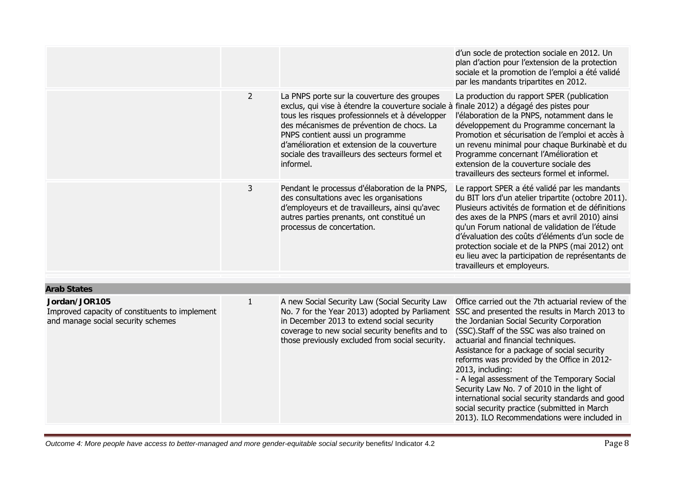|                                                                                                       |                |                                                                                                                                                                                                                                                                                                                                                                                             | d'un socle de protection sociale en 2012. Un<br>plan d'action pour l'extension de la protection<br>sociale et la promotion de l'emploi a été validé<br>par les mandants tripartites en 2012.                                                                                                                                                                                                                                                                                                                                                                                                                                                              |
|-------------------------------------------------------------------------------------------------------|----------------|---------------------------------------------------------------------------------------------------------------------------------------------------------------------------------------------------------------------------------------------------------------------------------------------------------------------------------------------------------------------------------------------|-----------------------------------------------------------------------------------------------------------------------------------------------------------------------------------------------------------------------------------------------------------------------------------------------------------------------------------------------------------------------------------------------------------------------------------------------------------------------------------------------------------------------------------------------------------------------------------------------------------------------------------------------------------|
|                                                                                                       | $\overline{2}$ | La PNPS porte sur la couverture des groupes<br>exclus, qui vise à étendre la couverture sociale à finale 2012) a dégagé des pistes pour<br>tous les risques professionnels et à développer<br>des mécanismes de prévention de chocs. La<br>PNPS contient aussi un programme<br>d'amélioration et extension de la couverture<br>sociale des travailleurs des secteurs formel et<br>informel. | La production du rapport SPER (publication<br>l'élaboration de la PNPS, notamment dans le<br>développement du Programme concernant la<br>Promotion et sécurisation de l'emploi et accès à<br>un revenu minimal pour chaque Burkinabè et du<br>Programme concernant l'Amélioration et<br>extension de la couverture sociale des<br>travailleurs des secteurs formel et informel.                                                                                                                                                                                                                                                                           |
|                                                                                                       | 3              | Pendant le processus d'élaboration de la PNPS,<br>des consultations avec les organisations<br>d'employeurs et de travailleurs, ainsi qu'avec<br>autres parties prenants, ont constitué un<br>processus de concertation.                                                                                                                                                                     | Le rapport SPER a été validé par les mandants<br>du BIT lors d'un atelier tripartite (octobre 2011).<br>Plusieurs activités de formation et de définitions<br>des axes de la PNPS (mars et avril 2010) ainsi<br>qu'un Forum national de validation de l'étude<br>d'évaluation des coûts d'éléments d'un socle de<br>protection sociale et de la PNPS (mai 2012) ont<br>eu lieu avec la participation de représentants de<br>travailleurs et employeurs.                                                                                                                                                                                                   |
| <b>Arab States</b>                                                                                    |                |                                                                                                                                                                                                                                                                                                                                                                                             |                                                                                                                                                                                                                                                                                                                                                                                                                                                                                                                                                                                                                                                           |
|                                                                                                       |                |                                                                                                                                                                                                                                                                                                                                                                                             |                                                                                                                                                                                                                                                                                                                                                                                                                                                                                                                                                                                                                                                           |
| Jordan/JOR105<br>Improved capacity of constituents to implement<br>and manage social security schemes | $\mathbf{1}$   | A new Social Security Law (Social Security Law<br>in December 2013 to extend social security<br>coverage to new social security benefits and to<br>those previously excluded from social security.                                                                                                                                                                                          | Office carried out the 7th actuarial review of the<br>No. 7 for the Year 2013) adopted by Parliament SSC and presented the results in March 2013 to<br>the Jordanian Social Security Corporation<br>(SSC). Staff of the SSC was also trained on<br>actuarial and financial techniques.<br>Assistance for a package of social security<br>reforms was provided by the Office in 2012-<br>2013, including:<br>- A legal assessment of the Temporary Social<br>Security Law No. 7 of 2010 in the light of<br>international social security standards and good<br>social security practice (submitted in March<br>2013). ILO Recommendations were included in |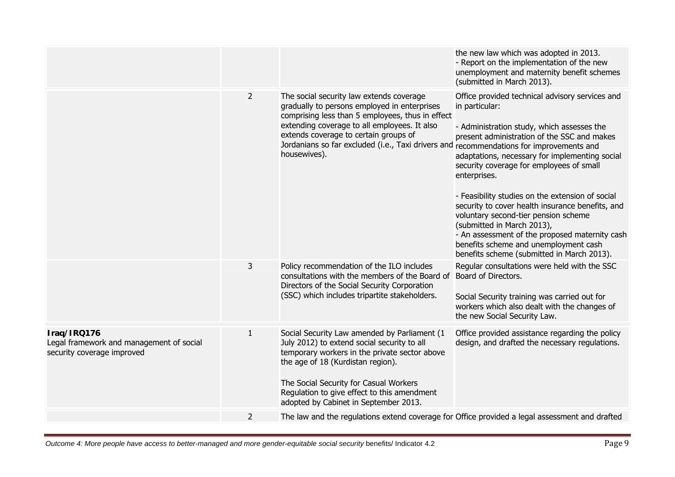|                                                                                       |                |                                                                                                                                                                                                                                                                                                                                                  | the new law which was adopted in 2013.<br>- Report on the implementation of the new<br>unemployment and maternity benefit schemes<br>(submitted in March 2013).                                                                                                                                                                                                                                                                                                                                                                                                                                     |
|---------------------------------------------------------------------------------------|----------------|--------------------------------------------------------------------------------------------------------------------------------------------------------------------------------------------------------------------------------------------------------------------------------------------------------------------------------------------------|-----------------------------------------------------------------------------------------------------------------------------------------------------------------------------------------------------------------------------------------------------------------------------------------------------------------------------------------------------------------------------------------------------------------------------------------------------------------------------------------------------------------------------------------------------------------------------------------------------|
|                                                                                       | $\overline{2}$ | The social security law extends coverage<br>gradually to persons employed in enterprises<br>comprising less than 5 employees, thus in effect<br>extending coverage to all employees. It also<br>extends coverage to certain groups of<br>Jordanians so far excluded (i.e., Taxi drivers and recommendations for improvements and<br>housewives). | Office provided technical advisory services and<br>in particular:<br>- Administration study, which assesses the<br>present administration of the SSC and makes<br>adaptations, necessary for implementing social<br>security coverage for employees of small<br>enterprises.<br>- Feasibility studies on the extension of social<br>security to cover health insurance benefits, and<br>voluntary second-tier pension scheme<br>(submitted in March 2013),<br>- An assessment of the proposed maternity cash<br>benefits scheme and unemployment cash<br>benefits scheme (submitted in March 2013). |
|                                                                                       | 3              | Policy recommendation of the ILO includes<br>consultations with the members of the Board of<br>Directors of the Social Security Corporation<br>(SSC) which includes tripartite stakeholders.                                                                                                                                                     | Regular consultations were held with the SSC<br>Board of Directors.<br>Social Security training was carried out for<br>workers which also dealt with the changes of<br>the new Social Security Law.                                                                                                                                                                                                                                                                                                                                                                                                 |
| Iraq/IRQ176<br>Legal framework and management of social<br>security coverage improved | $\mathbf{1}$   | Social Security Law amended by Parliament (1<br>July 2012) to extend social security to all<br>temporary workers in the private sector above<br>the age of 18 (Kurdistan region).<br>The Social Security for Casual Workers<br>Regulation to give effect to this amendment<br>adopted by Cabinet in September 2013.                              | Office provided assistance regarding the policy<br>design, and drafted the necessary regulations.                                                                                                                                                                                                                                                                                                                                                                                                                                                                                                   |
|                                                                                       | 2              | The law and the regulations extend coverage for Office provided a legal assessment and drafted                                                                                                                                                                                                                                                   |                                                                                                                                                                                                                                                                                                                                                                                                                                                                                                                                                                                                     |
|                                                                                       |                |                                                                                                                                                                                                                                                                                                                                                  |                                                                                                                                                                                                                                                                                                                                                                                                                                                                                                                                                                                                     |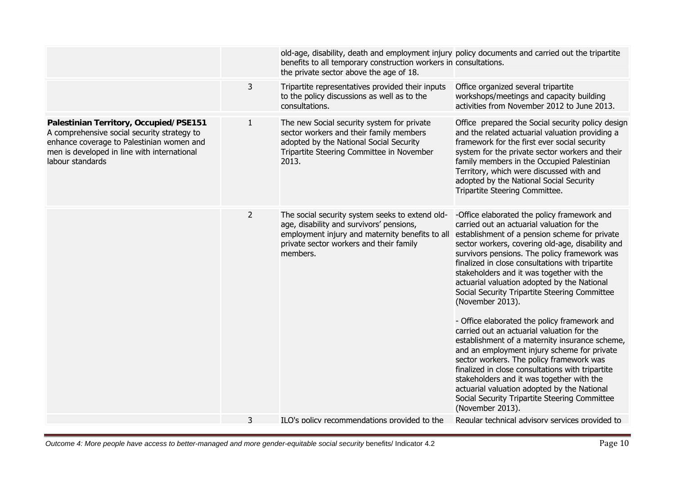| old-age, disability, death and employment injury policy documents and carried out the tripartite<br>benefits to all temporary construction workers in consultations.<br>the private sector above the age of 18.<br>3<br>Tripartite representatives provided their inputs<br>Office organized several tripartite<br>to the policy discussions as well as to the<br>workshops/meetings and capacity building<br>activities from November 2012 to June 2013.<br>consultations.<br>$\mathbf{1}$<br>The new Social security system for private<br>Office prepared the Social security policy design<br>Palestinian Territory, Occupied/PSE151<br>A comprehensive social security strategy to<br>sector workers and their family members<br>and the related actuarial valuation providing a<br>adopted by the National Social Security<br>enhance coverage to Palestinian women and<br>framework for the first ever social security<br>men is developed in line with international<br>Tripartite Steering Committee in November<br>system for the private sector workers and their<br>labour standards<br>family members in the Occupied Palestinian<br>2013.<br>Territory, which were discussed with and<br>adopted by the National Social Security<br>Tripartite Steering Committee.<br>$\overline{2}$<br>The social security system seeks to extend old-<br>-Office elaborated the policy framework and<br>age, disability and survivors' pensions,<br>carried out an actuarial valuation for the<br>employment injury and maternity benefits to all<br>establishment of a pension scheme for private<br>private sector workers and their family<br>sector workers, covering old-age, disability and<br>members.<br>survivors pensions. The policy framework was<br>finalized in close consultations with tripartite<br>stakeholders and it was together with the<br>actuarial valuation adopted by the National<br>Social Security Tripartite Steering Committee<br>(November 2013).<br>- Office elaborated the policy framework and<br>carried out an actuarial valuation for the<br>establishment of a maternity insurance scheme,<br>and an employment injury scheme for private<br>sector workers. The policy framework was<br>finalized in close consultations with tripartite<br>stakeholders and it was together with the<br>actuarial valuation adopted by the National<br>Social Security Tripartite Steering Committee<br>(November 2013).<br>Regular technical advisory services provided to<br>3<br>ILO's policy recommendations provided to the |  |  |
|------------------------------------------------------------------------------------------------------------------------------------------------------------------------------------------------------------------------------------------------------------------------------------------------------------------------------------------------------------------------------------------------------------------------------------------------------------------------------------------------------------------------------------------------------------------------------------------------------------------------------------------------------------------------------------------------------------------------------------------------------------------------------------------------------------------------------------------------------------------------------------------------------------------------------------------------------------------------------------------------------------------------------------------------------------------------------------------------------------------------------------------------------------------------------------------------------------------------------------------------------------------------------------------------------------------------------------------------------------------------------------------------------------------------------------------------------------------------------------------------------------------------------------------------------------------------------------------------------------------------------------------------------------------------------------------------------------------------------------------------------------------------------------------------------------------------------------------------------------------------------------------------------------------------------------------------------------------------------------------------------------------------------------------------------------------------------------------------------------------------------------------------------------------------------------------------------------------------------------------------------------------------------------------------------------------------------------------------------------------------------------------------------------------------------------------------------------------------------------------------------------------------------------------------------------|--|--|
|                                                                                                                                                                                                                                                                                                                                                                                                                                                                                                                                                                                                                                                                                                                                                                                                                                                                                                                                                                                                                                                                                                                                                                                                                                                                                                                                                                                                                                                                                                                                                                                                                                                                                                                                                                                                                                                                                                                                                                                                                                                                                                                                                                                                                                                                                                                                                                                                                                                                                                                                                            |  |  |
|                                                                                                                                                                                                                                                                                                                                                                                                                                                                                                                                                                                                                                                                                                                                                                                                                                                                                                                                                                                                                                                                                                                                                                                                                                                                                                                                                                                                                                                                                                                                                                                                                                                                                                                                                                                                                                                                                                                                                                                                                                                                                                                                                                                                                                                                                                                                                                                                                                                                                                                                                            |  |  |
|                                                                                                                                                                                                                                                                                                                                                                                                                                                                                                                                                                                                                                                                                                                                                                                                                                                                                                                                                                                                                                                                                                                                                                                                                                                                                                                                                                                                                                                                                                                                                                                                                                                                                                                                                                                                                                                                                                                                                                                                                                                                                                                                                                                                                                                                                                                                                                                                                                                                                                                                                            |  |  |
|                                                                                                                                                                                                                                                                                                                                                                                                                                                                                                                                                                                                                                                                                                                                                                                                                                                                                                                                                                                                                                                                                                                                                                                                                                                                                                                                                                                                                                                                                                                                                                                                                                                                                                                                                                                                                                                                                                                                                                                                                                                                                                                                                                                                                                                                                                                                                                                                                                                                                                                                                            |  |  |
|                                                                                                                                                                                                                                                                                                                                                                                                                                                                                                                                                                                                                                                                                                                                                                                                                                                                                                                                                                                                                                                                                                                                                                                                                                                                                                                                                                                                                                                                                                                                                                                                                                                                                                                                                                                                                                                                                                                                                                                                                                                                                                                                                                                                                                                                                                                                                                                                                                                                                                                                                            |  |  |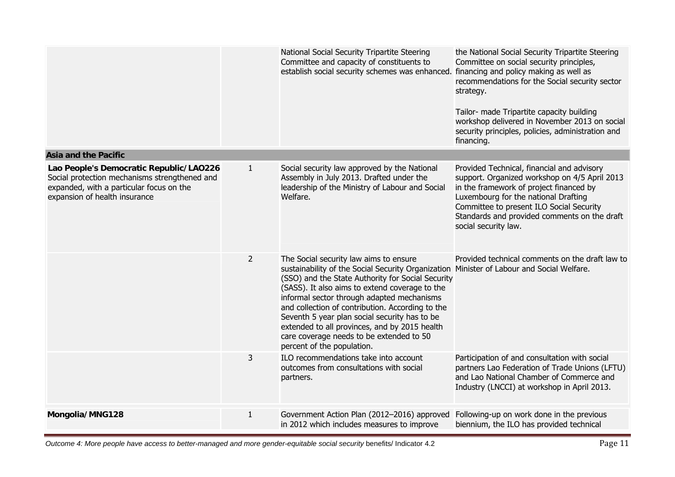|                                                                                                                                                                       |                | National Social Security Tripartite Steering<br>Committee and capacity of constituents to<br>establish social security schemes was enhanced.                                                                                                                                                                                                                                                                                                                                      | the National Social Security Tripartite Steering<br>Committee on social security principles,<br>financing and policy making as well as<br>recommendations for the Social security sector<br>strategy.<br>Tailor- made Tripartite capacity building<br>workshop delivered in November 2013 on social<br>security principles, policies, administration and<br>financing. |
|-----------------------------------------------------------------------------------------------------------------------------------------------------------------------|----------------|-----------------------------------------------------------------------------------------------------------------------------------------------------------------------------------------------------------------------------------------------------------------------------------------------------------------------------------------------------------------------------------------------------------------------------------------------------------------------------------|------------------------------------------------------------------------------------------------------------------------------------------------------------------------------------------------------------------------------------------------------------------------------------------------------------------------------------------------------------------------|
| <b>Asia and the Pacific</b>                                                                                                                                           |                |                                                                                                                                                                                                                                                                                                                                                                                                                                                                                   |                                                                                                                                                                                                                                                                                                                                                                        |
| Lao People's Democratic Republic/LAO226<br>Social protection mechanisms strengthened and<br>expanded, with a particular focus on the<br>expansion of health insurance | $\mathbf{1}$   | Social security law approved by the National<br>Assembly in July 2013. Drafted under the<br>leadership of the Ministry of Labour and Social<br>Welfare.                                                                                                                                                                                                                                                                                                                           | Provided Technical, financial and advisory<br>support. Organized workshop on 4/5 April 2013<br>in the framework of project financed by<br>Luxembourg for the national Drafting<br>Committee to present ILO Social Security<br>Standards and provided comments on the draft<br>social security law.                                                                     |
|                                                                                                                                                                       | $\overline{2}$ | The Social security law aims to ensure<br>sustainability of the Social Security Organization<br>(SSO) and the State Authority for Social Security<br>(SASS). It also aims to extend coverage to the<br>informal sector through adapted mechanisms<br>and collection of contribution. According to the<br>Seventh 5 year plan social security has to be<br>extended to all provinces, and by 2015 health<br>care coverage needs to be extended to 50<br>percent of the population. | Provided technical comments on the draft law to<br>Minister of Labour and Social Welfare.                                                                                                                                                                                                                                                                              |
|                                                                                                                                                                       | 3              | ILO recommendations take into account<br>outcomes from consultations with social<br>partners.                                                                                                                                                                                                                                                                                                                                                                                     | Participation of and consultation with social<br>partners Lao Federation of Trade Unions (LFTU)<br>and Lao National Chamber of Commerce and<br>Industry (LNCCI) at workshop in April 2013.                                                                                                                                                                             |
| Mongolia/MNG128                                                                                                                                                       | $\mathbf{1}$   | Government Action Plan (2012-2016) approved<br>in 2012 which includes measures to improve                                                                                                                                                                                                                                                                                                                                                                                         | Following-up on work done in the previous<br>biennium, the ILO has provided technical                                                                                                                                                                                                                                                                                  |

*Outcome 4: More people have access to better-managed and more gender-equitable social security benefits/ Indicator 4.2* Page 11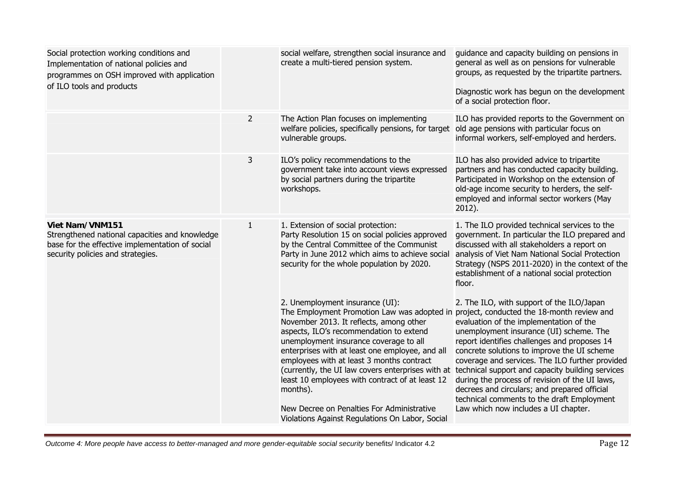| Social protection working conditions and<br>Implementation of national policies and<br>programmes on OSH improved with application<br>of ILO tools and products  |                | social welfare, strengthen social insurance and<br>create a multi-tiered pension system.                                                                                                                                                                                                                                                                                                                                                                                                                                                                                       | guidance and capacity building on pensions in<br>general as well as on pensions for vulnerable<br>groups, as requested by the tripartite partners.<br>Diagnostic work has begun on the development<br>of a social protection floor.                                                                                                                                                                                                                                                                                           |
|------------------------------------------------------------------------------------------------------------------------------------------------------------------|----------------|--------------------------------------------------------------------------------------------------------------------------------------------------------------------------------------------------------------------------------------------------------------------------------------------------------------------------------------------------------------------------------------------------------------------------------------------------------------------------------------------------------------------------------------------------------------------------------|-------------------------------------------------------------------------------------------------------------------------------------------------------------------------------------------------------------------------------------------------------------------------------------------------------------------------------------------------------------------------------------------------------------------------------------------------------------------------------------------------------------------------------|
|                                                                                                                                                                  | $\overline{2}$ | The Action Plan focuses on implementing<br>welfare policies, specifically pensions, for target<br>vulnerable groups.                                                                                                                                                                                                                                                                                                                                                                                                                                                           | ILO has provided reports to the Government on<br>old age pensions with particular focus on<br>informal workers, self-employed and herders.                                                                                                                                                                                                                                                                                                                                                                                    |
|                                                                                                                                                                  | 3              | ILO's policy recommendations to the<br>government take into account views expressed<br>by social partners during the tripartite<br>workshops.                                                                                                                                                                                                                                                                                                                                                                                                                                  | ILO has also provided advice to tripartite<br>partners and has conducted capacity building.<br>Participated in Workshop on the extension of<br>old-age income security to herders, the self-<br>employed and informal sector workers (May<br>2012).                                                                                                                                                                                                                                                                           |
| <b>Viet Nam/VNM151</b><br>Strengthened national capacities and knowledge<br>base for the effective implementation of social<br>security policies and strategies. | 1              | 1. Extension of social protection:<br>Party Resolution 15 on social policies approved<br>by the Central Committee of the Communist<br>Party in June 2012 which aims to achieve social<br>security for the whole population by 2020.                                                                                                                                                                                                                                                                                                                                            | 1. The ILO provided technical services to the<br>government. In particular the ILO prepared and<br>discussed with all stakeholders a report on<br>analysis of Viet Nam National Social Protection<br>Strategy (NSPS 2011-2020) in the context of the<br>establishment of a national social protection<br>floor.                                                                                                                                                                                                               |
|                                                                                                                                                                  |                | 2. Unemployment insurance (UI):<br>The Employment Promotion Law was adopted in project, conducted the 18-month review and<br>November 2013. It reflects, among other<br>aspects, ILO's recommendation to extend<br>unemployment insurance coverage to all<br>enterprises with at least one employee, and all<br>employees with at least 3 months contract<br>(currently, the UI law covers enterprises with at<br>least 10 employees with contract of at least 12<br>months).<br>New Decree on Penalties For Administrative<br>Violations Against Regulations On Labor, Social | 2. The ILO, with support of the ILO/Japan<br>evaluation of the implementation of the<br>unemployment insurance (UI) scheme. The<br>report identifies challenges and proposes 14<br>concrete solutions to improve the UI scheme<br>coverage and services. The ILO further provided<br>technical support and capacity building services<br>during the process of revision of the UI laws,<br>decrees and circulars; and prepared official<br>technical comments to the draft Employment<br>Law which now includes a UI chapter. |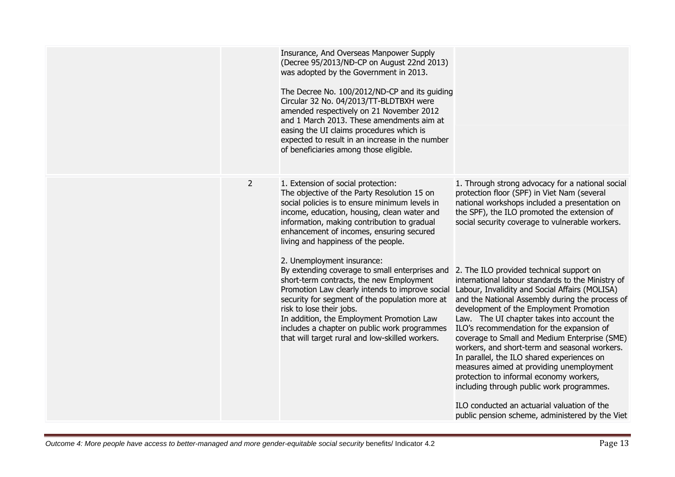|                | Insurance, And Overseas Manpower Supply<br>(Decree 95/2013/NĐ-CP on August 22nd 2013)<br>was adopted by the Government in 2013.<br>The Decree No. 100/2012/ND-CP and its guiding<br>Circular 32 No. 04/2013/TT-BLDTBXH were<br>amended respectively on 21 November 2012<br>and 1 March 2013. These amendments aim at<br>easing the UI claims procedures which is<br>expected to result in an increase in the number<br>of beneficiaries among those eligible. |                                                                                                                                                                                                                                                                                                                                                                                                                                                                                                                                                                                                                              |
|----------------|---------------------------------------------------------------------------------------------------------------------------------------------------------------------------------------------------------------------------------------------------------------------------------------------------------------------------------------------------------------------------------------------------------------------------------------------------------------|------------------------------------------------------------------------------------------------------------------------------------------------------------------------------------------------------------------------------------------------------------------------------------------------------------------------------------------------------------------------------------------------------------------------------------------------------------------------------------------------------------------------------------------------------------------------------------------------------------------------------|
| $\overline{2}$ | 1. Extension of social protection:<br>The objective of the Party Resolution 15 on<br>social policies is to ensure minimum levels in<br>income, education, housing, clean water and<br>information, making contribution to gradual<br>enhancement of incomes, ensuring secured<br>living and happiness of the people.                                                                                                                                          | 1. Through strong advocacy for a national social<br>protection floor (SPF) in Viet Nam (several<br>national workshops included a presentation on<br>the SPF), the ILO promoted the extension of<br>social security coverage to vulnerable workers.                                                                                                                                                                                                                                                                                                                                                                           |
|                | 2. Unemployment insurance:<br>By extending coverage to small enterprises and<br>short-term contracts, the new Employment<br>Promotion Law clearly intends to improve social<br>security for segment of the population more at<br>risk to lose their jobs.<br>In addition, the Employment Promotion Law<br>includes a chapter on public work programmes<br>that will target rural and low-skilled workers.                                                     | 2. The ILO provided technical support on<br>international labour standards to the Ministry of<br>Labour, Invalidity and Social Affairs (MOLISA)<br>and the National Assembly during the process of<br>development of the Employment Promotion<br>Law. The UI chapter takes into account the<br>ILO's recommendation for the expansion of<br>coverage to Small and Medium Enterprise (SME)<br>workers, and short-term and seasonal workers.<br>In parallel, the ILO shared experiences on<br>measures aimed at providing unemployment<br>protection to informal economy workers,<br>including through public work programmes. |
|                |                                                                                                                                                                                                                                                                                                                                                                                                                                                               | ILO conducted an actuarial valuation of the<br>public pension scheme, administered by the Viet                                                                                                                                                                                                                                                                                                                                                                                                                                                                                                                               |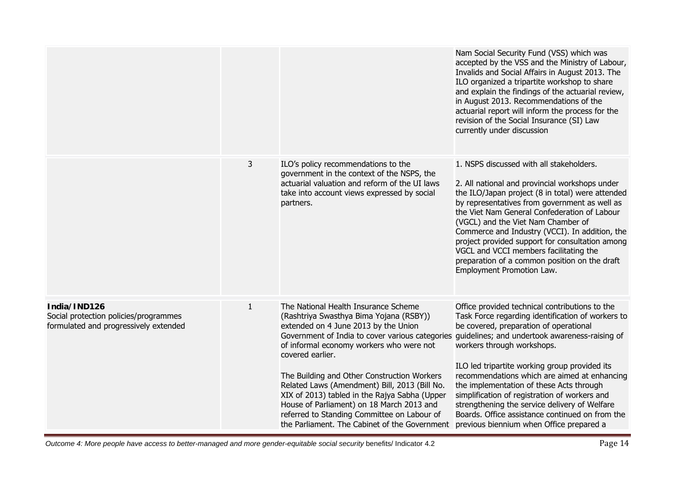|                                                                                                |              |                                                                                                                                                                                                                                                                                                                                                                                                                                                                                                                                          | Nam Social Security Fund (VSS) which was<br>accepted by the VSS and the Ministry of Labour,<br>Invalids and Social Affairs in August 2013. The<br>ILO organized a tripartite workshop to share<br>and explain the findings of the actuarial review,<br>in August 2013. Recommendations of the<br>actuarial report will inform the process for the<br>revision of the Social Insurance (SI) Law<br>currently under discussion                                                                                                                                                |
|------------------------------------------------------------------------------------------------|--------------|------------------------------------------------------------------------------------------------------------------------------------------------------------------------------------------------------------------------------------------------------------------------------------------------------------------------------------------------------------------------------------------------------------------------------------------------------------------------------------------------------------------------------------------|-----------------------------------------------------------------------------------------------------------------------------------------------------------------------------------------------------------------------------------------------------------------------------------------------------------------------------------------------------------------------------------------------------------------------------------------------------------------------------------------------------------------------------------------------------------------------------|
|                                                                                                | 3            | ILO's policy recommendations to the<br>government in the context of the NSPS, the<br>actuarial valuation and reform of the UI laws<br>take into account views expressed by social<br>partners.                                                                                                                                                                                                                                                                                                                                           | 1. NSPS discussed with all stakeholders.<br>2. All national and provincial workshops under<br>the ILO/Japan project (8 in total) were attended<br>by representatives from government as well as<br>the Viet Nam General Confederation of Labour<br>(VGCL) and the Viet Nam Chamber of<br>Commerce and Industry (VCCI). In addition, the<br>project provided support for consultation among<br>VGCL and VCCI members facilitating the<br>preparation of a common position on the draft<br>Employment Promotion Law.                                                          |
| India/IND126<br>Social protection policies/programmes<br>formulated and progressively extended | $\mathbf{1}$ | The National Health Insurance Scheme<br>(Rashtriya Swasthya Bima Yojana (RSBY))<br>extended on 4 June 2013 by the Union<br>Government of India to cover various categories<br>of informal economy workers who were not<br>covered earlier.<br>The Building and Other Construction Workers<br>Related Laws (Amendment) Bill, 2013 (Bill No.<br>XIX of 2013) tabled in the Rajya Sabha (Upper<br>House of Parliament) on 18 March 2013 and<br>referred to Standing Committee on Labour of<br>the Parliament. The Cabinet of the Government | Office provided technical contributions to the<br>Task Force regarding identification of workers to<br>be covered, preparation of operational<br>guidelines; and undertook awareness-raising of<br>workers through workshops.<br>ILO led tripartite working group provided its<br>recommendations which are aimed at enhancing<br>the implementation of these Acts through<br>simplification of registration of workers and<br>strengthening the service delivery of Welfare<br>Boards. Office assistance continued on from the<br>previous biennium when Office prepared a |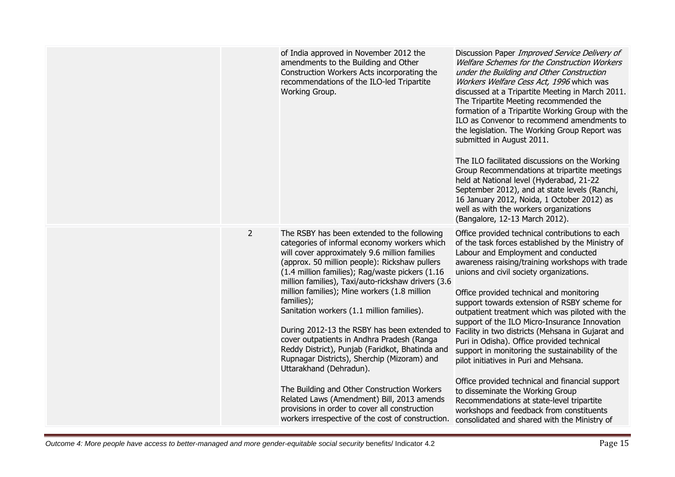|                | of India approved in November 2012 the<br>amendments to the Building and Other<br>Construction Workers Acts incorporating the<br>recommendations of the ILO-led Tripartite<br>Working Group.                                                                                                                                                                                                                                                                                                                                                                                                                                                                                                                                                                                                                                                     | Discussion Paper Improved Service Delivery of<br>Welfare Schemes for the Construction Workers<br>under the Building and Other Construction<br>Workers Welfare Cess Act, 1996 which was<br>discussed at a Tripartite Meeting in March 2011.<br>The Tripartite Meeting recommended the<br>formation of a Tripartite Working Group with the<br>ILO as Convenor to recommend amendments to<br>the legislation. The Working Group Report was<br>submitted in August 2011.<br>The ILO facilitated discussions on the Working<br>Group Recommendations at tripartite meetings<br>held at National level (Hyderabad, 21-22<br>September 2012), and at state levels (Ranchi,<br>16 January 2012, Noida, 1 October 2012) as<br>well as with the workers organizations<br>(Bangalore, 12-13 March 2012).                                                                             |
|----------------|--------------------------------------------------------------------------------------------------------------------------------------------------------------------------------------------------------------------------------------------------------------------------------------------------------------------------------------------------------------------------------------------------------------------------------------------------------------------------------------------------------------------------------------------------------------------------------------------------------------------------------------------------------------------------------------------------------------------------------------------------------------------------------------------------------------------------------------------------|---------------------------------------------------------------------------------------------------------------------------------------------------------------------------------------------------------------------------------------------------------------------------------------------------------------------------------------------------------------------------------------------------------------------------------------------------------------------------------------------------------------------------------------------------------------------------------------------------------------------------------------------------------------------------------------------------------------------------------------------------------------------------------------------------------------------------------------------------------------------------|
| $\overline{2}$ | The RSBY has been extended to the following<br>categories of informal economy workers which<br>will cover approximately 9.6 million families<br>(approx. 50 million people): Rickshaw pullers<br>(1.4 million families); Rag/waste pickers (1.16<br>million families), Taxi/auto-rickshaw drivers (3.6<br>million families); Mine workers (1.8 million<br>families);<br>Sanitation workers (1.1 million families).<br>During 2012-13 the RSBY has been extended to<br>cover outpatients in Andhra Pradesh (Ranga<br>Reddy District), Punjab (Faridkot, Bhatinda and<br>Rupnagar Districts), Sherchip (Mizoram) and<br>Uttarakhand (Dehradun).<br>The Building and Other Construction Workers<br>Related Laws (Amendment) Bill, 2013 amends<br>provisions in order to cover all construction<br>workers irrespective of the cost of construction. | Office provided technical contributions to each<br>of the task forces established by the Ministry of<br>Labour and Employment and conducted<br>awareness raising/training workshops with trade<br>unions and civil society organizations.<br>Office provided technical and monitoring<br>support towards extension of RSBY scheme for<br>outpatient treatment which was piloted with the<br>support of the ILO Micro-Insurance Innovation<br>Facility in two districts (Mehsana in Gujarat and<br>Puri in Odisha). Office provided technical<br>support in monitoring the sustainability of the<br>pilot initiatives in Puri and Mehsana.<br>Office provided technical and financial support<br>to disseminate the Working Group<br>Recommendations at state-level tripartite<br>workshops and feedback from constituents<br>consolidated and shared with the Ministry of |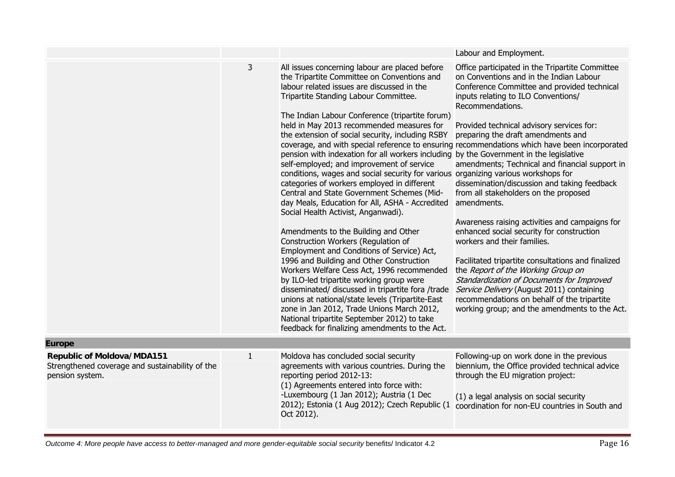|                                                                                                         |              |                                                                                                                                                                                                                                                                                                                                                                                                                                                                                                                                                                                                                                                                                                                                                                                                                                                                                                                                                                                                                                                                                                                                                                                                                                                                                         | Labour and Employment.                                                                                                                                                                                                                                                                                                                                                                                                                                                                                                                                                                                                                                                                                                                                                                                                                                                                                                                                                 |
|---------------------------------------------------------------------------------------------------------|--------------|-----------------------------------------------------------------------------------------------------------------------------------------------------------------------------------------------------------------------------------------------------------------------------------------------------------------------------------------------------------------------------------------------------------------------------------------------------------------------------------------------------------------------------------------------------------------------------------------------------------------------------------------------------------------------------------------------------------------------------------------------------------------------------------------------------------------------------------------------------------------------------------------------------------------------------------------------------------------------------------------------------------------------------------------------------------------------------------------------------------------------------------------------------------------------------------------------------------------------------------------------------------------------------------------|------------------------------------------------------------------------------------------------------------------------------------------------------------------------------------------------------------------------------------------------------------------------------------------------------------------------------------------------------------------------------------------------------------------------------------------------------------------------------------------------------------------------------------------------------------------------------------------------------------------------------------------------------------------------------------------------------------------------------------------------------------------------------------------------------------------------------------------------------------------------------------------------------------------------------------------------------------------------|
|                                                                                                         | 3            | All issues concerning labour are placed before<br>the Tripartite Committee on Conventions and<br>labour related issues are discussed in the<br>Tripartite Standing Labour Committee.<br>The Indian Labour Conference (tripartite forum)<br>held in May 2013 recommended measures for<br>the extension of social security, including RSBY<br>pension with indexation for all workers including by the Government in the legislative<br>self-employed; and improvement of service<br>conditions, wages and social security for various organizing various workshops for<br>categories of workers employed in different<br>Central and State Government Schemes (Mid-<br>day Meals, Education for All, ASHA - Accredited<br>Social Health Activist, Anganwadi).<br>Amendments to the Building and Other<br>Construction Workers (Regulation of<br>Employment and Conditions of Service) Act,<br>1996 and Building and Other Construction<br>Workers Welfare Cess Act, 1996 recommended<br>by ILO-led tripartite working group were<br>disseminated/ discussed in tripartite fora /trade<br>unions at national/state levels (Tripartite-East<br>zone in Jan 2012, Trade Unions March 2012,<br>National tripartite September 2012) to take<br>feedback for finalizing amendments to the Act. | Office participated in the Tripartite Committee<br>on Conventions and in the Indian Labour<br>Conference Committee and provided technical<br>inputs relating to ILO Conventions/<br>Recommendations.<br>Provided technical advisory services for:<br>preparing the draft amendments and<br>coverage, and with special reference to ensuring recommendations which have been incorporated<br>amendments; Technical and financial support in<br>dissemination/discussion and taking feedback<br>from all stakeholders on the proposed<br>amendments.<br>Awareness raising activities and campaigns for<br>enhanced social security for construction<br>workers and their families.<br>Facilitated tripartite consultations and finalized<br>the Report of the Working Group on<br>Standardization of Documents for Improved<br>Service Delivery (August 2011) containing<br>recommendations on behalf of the tripartite<br>working group; and the amendments to the Act. |
| <b>Europe</b>                                                                                           |              |                                                                                                                                                                                                                                                                                                                                                                                                                                                                                                                                                                                                                                                                                                                                                                                                                                                                                                                                                                                                                                                                                                                                                                                                                                                                                         |                                                                                                                                                                                                                                                                                                                                                                                                                                                                                                                                                                                                                                                                                                                                                                                                                                                                                                                                                                        |
| <b>Republic of Moldova/MDA151</b><br>Strengthened coverage and sustainability of the<br>pension system. | $\mathbf{1}$ | Moldova has concluded social security<br>agreements with various countries. During the<br>reporting period 2012-13:<br>(1) Agreements entered into force with:<br>-Luxembourg (1 Jan 2012); Austria (1 Dec<br>2012); Estonia (1 Aug 2012); Czech Republic (1<br>Oct 2012).                                                                                                                                                                                                                                                                                                                                                                                                                                                                                                                                                                                                                                                                                                                                                                                                                                                                                                                                                                                                              | Following-up on work done in the previous<br>biennium, the Office provided technical advice<br>through the EU migration project:<br>(1) a legal analysis on social security<br>coordination for non-EU countries in South and                                                                                                                                                                                                                                                                                                                                                                                                                                                                                                                                                                                                                                                                                                                                          |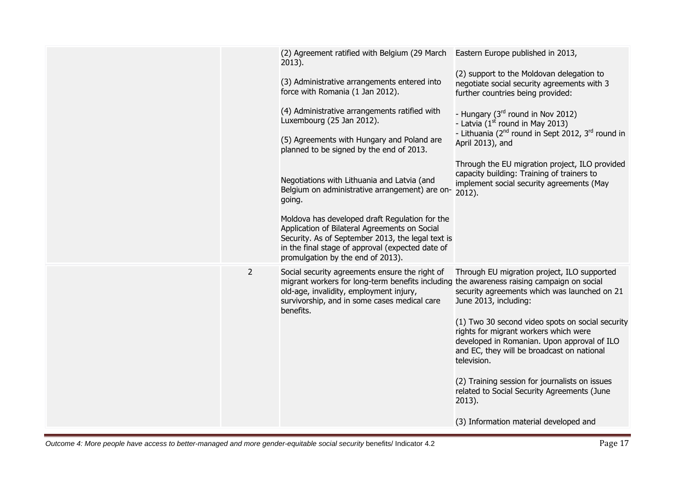|                | (2) Agreement ratified with Belgium (29 March Eastern Europe published in 2013,<br>$2013$ ).                                                                                                                                                        |                                                                                                                                                                                                       |
|----------------|-----------------------------------------------------------------------------------------------------------------------------------------------------------------------------------------------------------------------------------------------------|-------------------------------------------------------------------------------------------------------------------------------------------------------------------------------------------------------|
|                | (3) Administrative arrangements entered into<br>force with Romania (1 Jan 2012).                                                                                                                                                                    | (2) support to the Moldovan delegation to<br>negotiate social security agreements with 3<br>further countries being provided:                                                                         |
|                | (4) Administrative arrangements ratified with<br>Luxembourg (25 Jan 2012).                                                                                                                                                                          | - Hungary (3 <sup>rd</sup> round in Nov 2012)<br>- Latvia $(1st$ round in May 2013)                                                                                                                   |
|                | (5) Agreements with Hungary and Poland are<br>planned to be signed by the end of 2013.                                                                                                                                                              | - Lithuania (2 <sup>nd</sup> round in Sept 2012, 3 <sup>rd</sup> round in<br>April 2013), and                                                                                                         |
|                | Negotiations with Lithuania and Latvia (and<br>Belgium on administrative arrangement) are on-<br>going.                                                                                                                                             | Through the EU migration project, ILO provided<br>capacity building: Training of trainers to<br>implement social security agreements (May<br>2012).                                                   |
|                | Moldova has developed draft Regulation for the<br>Application of Bilateral Agreements on Social<br>Security. As of September 2013, the legal text is<br>in the final stage of approval (expected date of<br>promulgation by the end of 2013).       |                                                                                                                                                                                                       |
|                |                                                                                                                                                                                                                                                     |                                                                                                                                                                                                       |
| $\overline{2}$ | Social security agreements ensure the right of<br>migrant workers for long-term benefits including the awareness raising campaign on social<br>old-age, invalidity, employment injury,<br>survivorship, and in some cases medical care<br>benefits. | Through EU migration project, ILO supported<br>security agreements which was launched on 21<br>June 2013, including:                                                                                  |
|                |                                                                                                                                                                                                                                                     | (1) Two 30 second video spots on social security<br>rights for migrant workers which were<br>developed in Romanian. Upon approval of ILO<br>and EC, they will be broadcast on national<br>television. |
|                |                                                                                                                                                                                                                                                     | (2) Training session for journalists on issues<br>related to Social Security Agreements (June<br>2013).                                                                                               |
|                |                                                                                                                                                                                                                                                     | (3) Information material developed and                                                                                                                                                                |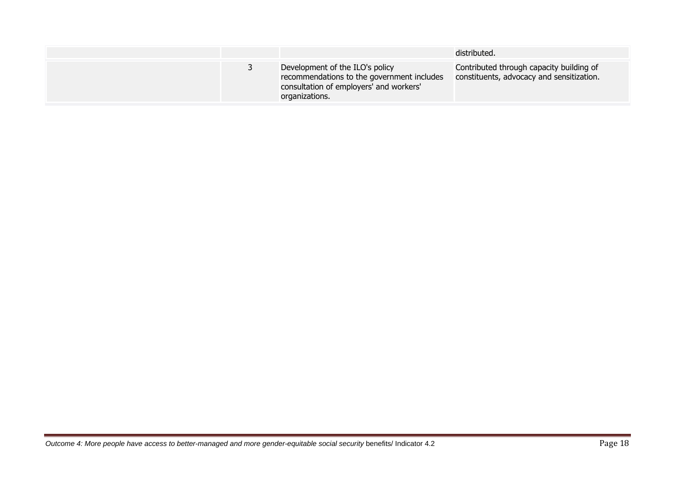|  |                                                                                                                                            | distributed.                                                                          |
|--|--------------------------------------------------------------------------------------------------------------------------------------------|---------------------------------------------------------------------------------------|
|  | Development of the ILO's policy<br>recommendations to the government includes<br>consultation of employers' and workers'<br>organizations. | Contributed through capacity building of<br>constituents, advocacy and sensitization. |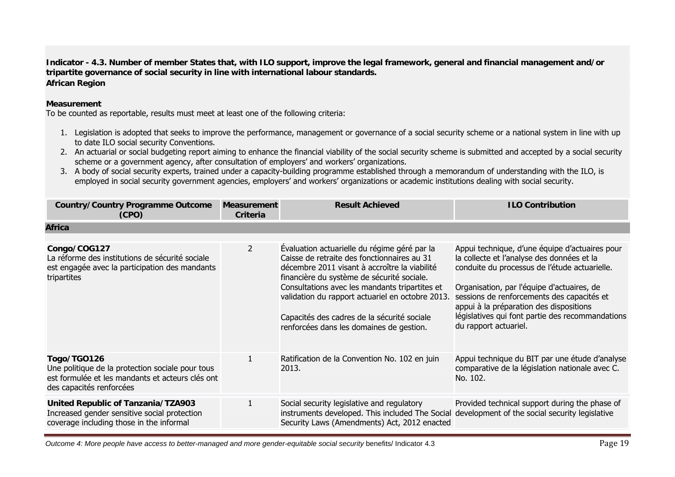**Indicator - 4.3. Number of member States that, with ILO support, improve the legal framework, general and financial management and/or tripartite governance of social security in line with international labour standards. African Region**

## **Measurement**

To be counted as reportable, results must meet at least one of the following criteria:

- 1. Legislation is adopted that seeks to improve the performance, management or governance of a social security scheme or a national system in line with up to date ILO social security Conventions.
- 2. An actuarial or social budgeting report aiming to enhance the financial viability of the social security scheme is submitted and accepted by a social security scheme or a government agency, after consultation of employers' and workers' organizations.
- 3. A body of social security experts, trained under a capacity-building programme established through a memorandum of understanding with the ILO, is employed in social security government agencies, employers' and workers' organizations or academic institutions dealing with social security.

| <b>Country/Country Programme Outcome</b><br>(CPO)                                                                                               | <b>Measurement</b><br>Criteria | <b>Result Achieved</b>                                                                                                                                                                                                                                                                                                                                                                      | <b>ILO Contribution</b>                                                                                                                                                                                                                                                                                                                                           |
|-------------------------------------------------------------------------------------------------------------------------------------------------|--------------------------------|---------------------------------------------------------------------------------------------------------------------------------------------------------------------------------------------------------------------------------------------------------------------------------------------------------------------------------------------------------------------------------------------|-------------------------------------------------------------------------------------------------------------------------------------------------------------------------------------------------------------------------------------------------------------------------------------------------------------------------------------------------------------------|
| <b>Africa</b>                                                                                                                                   |                                |                                                                                                                                                                                                                                                                                                                                                                                             |                                                                                                                                                                                                                                                                                                                                                                   |
| Congo/COG127<br>La réforme des institutions de sécurité sociale<br>est engagée avec la participation des mandants<br>tripartites                | $\overline{2}$                 | Evaluation actuarielle du régime géré par la<br>Caisse de retraite des fonctionnaires au 31<br>décembre 2011 visant à accroître la viabilité<br>financière du système de sécurité sociale.<br>Consultations avec les mandants tripartites et<br>validation du rapport actuariel en octobre 2013.<br>Capacités des cadres de la sécurité sociale<br>renforcées dans les domaines de gestion. | Appui technique, d'une équipe d'actuaires pour<br>la collecte et l'analyse des données et la<br>conduite du processus de l'étude actuarielle.<br>Organisation, par l'équipe d'actuaires, de<br>sessions de renforcements des capacités et<br>appui à la préparation des dispositions<br>législatives qui font partie des recommandations<br>du rapport actuariel. |
| Togo/TGO126<br>Une politique de la protection sociale pour tous<br>est formulée et les mandants et acteurs clés ont<br>des capacités renforcées |                                | Ratification de la Convention No. 102 en juin<br>2013.                                                                                                                                                                                                                                                                                                                                      | Appui technique du BIT par une étude d'analyse<br>comparative de la législation nationale avec C.<br>No. 102.                                                                                                                                                                                                                                                     |
| United Republic of Tanzania/TZA903<br>Increased gender sensitive social protection<br>coverage including those in the informal                  |                                | Social security legislative and regulatory<br>instruments developed. This included The Social development of the social security legislative<br>Security Laws (Amendments) Act, 2012 enacted                                                                                                                                                                                                | Provided technical support during the phase of                                                                                                                                                                                                                                                                                                                    |

*Outcome 4: More people have access to better-managed and more gender-equitable social security benefits/ Indicator 4.3* Page 19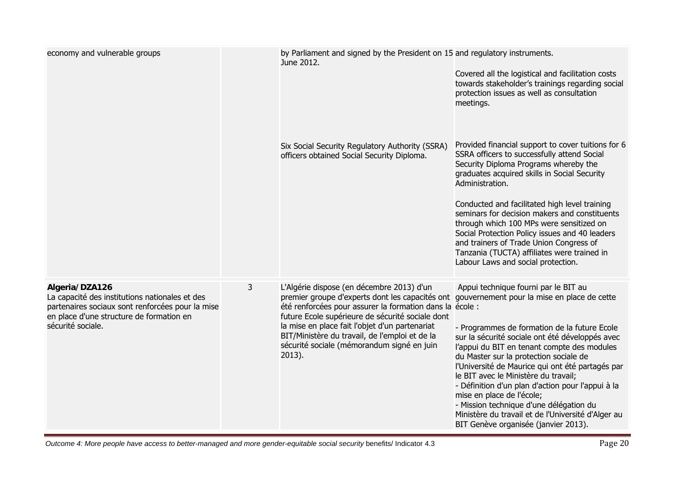| economy and vulnerable groups                                                                                                                                                         |   | by Parliament and signed by the President on 15 and regulatory instruments.<br>June 2012.                                                                                                                                                                                                                                                                                   | Covered all the logistical and facilitation costs<br>towards stakeholder's trainings regarding social<br>protection issues as well as consultation<br>meetings.                                                                                                                                                                                                                                                                                                                                                                                                                                        |
|---------------------------------------------------------------------------------------------------------------------------------------------------------------------------------------|---|-----------------------------------------------------------------------------------------------------------------------------------------------------------------------------------------------------------------------------------------------------------------------------------------------------------------------------------------------------------------------------|--------------------------------------------------------------------------------------------------------------------------------------------------------------------------------------------------------------------------------------------------------------------------------------------------------------------------------------------------------------------------------------------------------------------------------------------------------------------------------------------------------------------------------------------------------------------------------------------------------|
|                                                                                                                                                                                       |   | Six Social Security Regulatory Authority (SSRA)<br>officers obtained Social Security Diploma.                                                                                                                                                                                                                                                                               | Provided financial support to cover tuitions for 6<br>SSRA officers to successfully attend Social<br>Security Diploma Programs whereby the<br>graduates acquired skills in Social Security<br>Administration.<br>Conducted and facilitated high level training<br>seminars for decision makers and constituents<br>through which 100 MPs were sensitized on<br>Social Protection Policy issues and 40 leaders<br>and trainers of Trade Union Congress of<br>Tanzania (TUCTA) affiliates were trained in<br>Labour Laws and social protection.                                                          |
| Algeria/DZA126<br>La capacité des institutions nationales et des<br>partenaires sociaux sont renforcées pour la mise<br>en place d'une structure de formation en<br>sécurité sociale. | 3 | L'Algérie dispose (en décembre 2013) d'un<br>premier groupe d'experts dont les capacités ont<br>été renforcées pour assurer la formation dans la école :<br>future Ecole supérieure de sécurité sociale dont<br>la mise en place fait l'objet d'un partenariat<br>BIT/Ministère du travail, de l'emploi et de la<br>sécurité sociale (mémorandum signé en juin<br>$2013$ ). | Appui technique fourni par le BIT au<br>gouvernement pour la mise en place de cette<br>- Programmes de formation de la future Ecole<br>sur la sécurité sociale ont été développés avec<br>l'appui du BIT en tenant compte des modules<br>du Master sur la protection sociale de<br>l'Université de Maurice qui ont été partagés par<br>le BIT avec le Ministère du travail;<br>- Définition d'un plan d'action pour l'appui à la<br>mise en place de l'école;<br>- Mission technique d'une délégation du<br>Ministère du travail et de l'Université d'Alger au<br>BIT Genève organisée (janvier 2013). |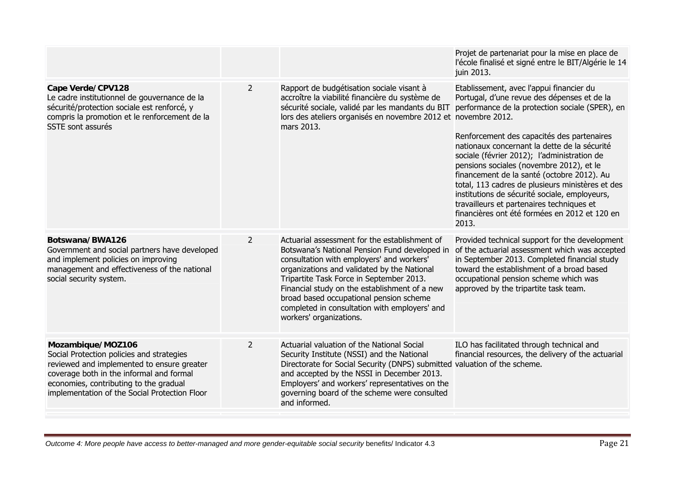|                                                                                                                                                                                                                                                     |                |                                                                                                                                                                                                                                                                                                                                                                                                                | Projet de partenariat pour la mise en place de<br>l'école finalisé et signé entre le BIT/Algérie le 14<br>juin 2013.                                                                                                                                                                                                                                                                                                                                                                                                                                                                          |
|-----------------------------------------------------------------------------------------------------------------------------------------------------------------------------------------------------------------------------------------------------|----------------|----------------------------------------------------------------------------------------------------------------------------------------------------------------------------------------------------------------------------------------------------------------------------------------------------------------------------------------------------------------------------------------------------------------|-----------------------------------------------------------------------------------------------------------------------------------------------------------------------------------------------------------------------------------------------------------------------------------------------------------------------------------------------------------------------------------------------------------------------------------------------------------------------------------------------------------------------------------------------------------------------------------------------|
| Cape Verde/CPV128<br>Le cadre institutionnel de gouvernance de la<br>sécurité/protection sociale est renforcé, y<br>compris la promotion et le renforcement de la<br>SSTE sont assurés                                                              | $\overline{2}$ | Rapport de budgétisation sociale visant à<br>accroître la viabilité financière du système de<br>sécurité sociale, validé par les mandants du BIT<br>lors des ateliers organisés en novembre 2012 et novembre 2012.<br>mars 2013.                                                                                                                                                                               | Etablissement, avec l'appui financier du<br>Portugal, d'une revue des dépenses et de la<br>performance de la protection sociale (SPER), en<br>Renforcement des capacités des partenaires<br>nationaux concernant la dette de la sécurité<br>sociale (février 2012); l'administration de<br>pensions sociales (novembre 2012), et le<br>financement de la santé (octobre 2012). Au<br>total, 113 cadres de plusieurs ministères et des<br>institutions de sécurité sociale, employeurs,<br>travailleurs et partenaires techniques et<br>financières ont été formées en 2012 et 120 en<br>2013. |
| Botswana/BWA126<br>Government and social partners have developed<br>and implement policies on improving<br>management and effectiveness of the national<br>social security system.                                                                  | $\overline{2}$ | Actuarial assessment for the establishment of<br>Botswana's National Pension Fund developed in<br>consultation with employers' and workers'<br>organizations and validated by the National<br>Tripartite Task Force in September 2013.<br>Financial study on the establishment of a new<br>broad based occupational pension scheme<br>completed in consultation with employers' and<br>workers' organizations. | Provided technical support for the development<br>of the actuarial assessment which was accepted<br>in September 2013. Completed financial study<br>toward the establishment of a broad based<br>occupational pension scheme which was<br>approved by the tripartite task team.                                                                                                                                                                                                                                                                                                               |
| Mozambique/MOZ106<br>Social Protection policies and strategies<br>reviewed and implemented to ensure greater<br>coverage both in the informal and formal<br>economies, contributing to the gradual<br>implementation of the Social Protection Floor | $\overline{2}$ | Actuarial valuation of the National Social<br>Security Institute (NSSI) and the National<br>Directorate for Social Security (DNPS) submitted valuation of the scheme.<br>and accepted by the NSSI in December 2013.<br>Employers' and workers' representatives on the<br>governing board of the scheme were consulted<br>and informed.                                                                         | ILO has facilitated through technical and<br>financial resources, the delivery of the actuarial                                                                                                                                                                                                                                                                                                                                                                                                                                                                                               |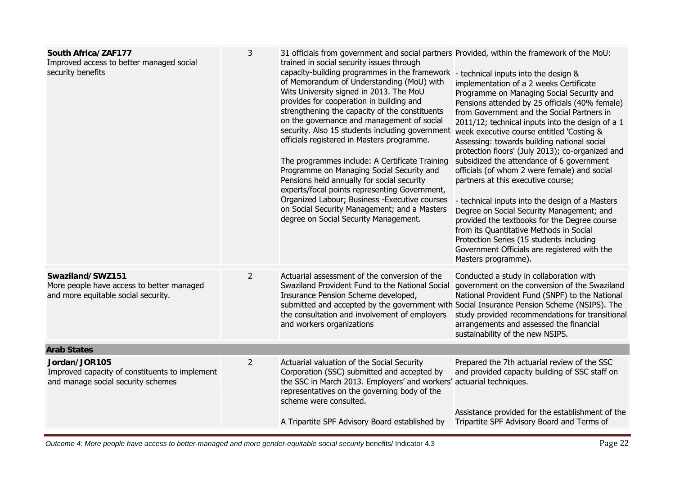| South Africa/ZAF177<br>Improved access to better managed social<br>security benefits                  | 3              | 31 officials from government and social partners Provided, within the framework of the MoU:<br>trained in social security issues through<br>capacity-building programmes in the framework - technical inputs into the design &<br>of Memorandum of Understanding (MoU) with<br>Wits University signed in 2013. The MoU<br>provides for cooperation in building and<br>strengthening the capacity of the constituents<br>on the governance and management of social<br>security. Also 15 students including government<br>officials registered in Masters programme.<br>The programmes include: A Certificate Training<br>Programme on Managing Social Security and<br>Pensions held annually for social security<br>experts/focal points representing Government,<br>Organized Labour; Business - Executive courses<br>on Social Security Management; and a Masters<br>degree on Social Security Management. | implementation of a 2 weeks Certificate<br>Programme on Managing Social Security and<br>Pensions attended by 25 officials (40% female)<br>from Government and the Social Partners in<br>2011/12; technical inputs into the design of a 1<br>week executive course entitled 'Costing &<br>Assessing: towards building national social<br>protection floors' (July 2013); co-organized and<br>subsidized the attendance of 6 government<br>officials (of whom 2 were female) and social<br>partners at this executive course;<br>- technical inputs into the design of a Masters<br>Degree on Social Security Management; and<br>provided the textbooks for the Degree course<br>from its Quantitative Methods in Social<br>Protection Series (15 students including<br>Government Officials are registered with the<br>Masters programme). |
|-------------------------------------------------------------------------------------------------------|----------------|--------------------------------------------------------------------------------------------------------------------------------------------------------------------------------------------------------------------------------------------------------------------------------------------------------------------------------------------------------------------------------------------------------------------------------------------------------------------------------------------------------------------------------------------------------------------------------------------------------------------------------------------------------------------------------------------------------------------------------------------------------------------------------------------------------------------------------------------------------------------------------------------------------------|-------------------------------------------------------------------------------------------------------------------------------------------------------------------------------------------------------------------------------------------------------------------------------------------------------------------------------------------------------------------------------------------------------------------------------------------------------------------------------------------------------------------------------------------------------------------------------------------------------------------------------------------------------------------------------------------------------------------------------------------------------------------------------------------------------------------------------------------|
| Swaziland/SWZ151<br>More people have access to better managed<br>and more equitable social security.  | $\overline{2}$ | Actuarial assessment of the conversion of the<br>Swaziland Provident Fund to the National Social<br>Insurance Pension Scheme developed,<br>submitted and accepted by the government with Social Insurance Pension Scheme (NSIPS). The<br>the consultation and involvement of employers<br>and workers organizations                                                                                                                                                                                                                                                                                                                                                                                                                                                                                                                                                                                          | Conducted a study in collaboration with<br>government on the conversion of the Swaziland<br>National Provident Fund (SNPF) to the National<br>study provided recommendations for transitional<br>arrangements and assessed the financial<br>sustainability of the new NSIPS.                                                                                                                                                                                                                                                                                                                                                                                                                                                                                                                                                              |
| <b>Arab States</b>                                                                                    |                |                                                                                                                                                                                                                                                                                                                                                                                                                                                                                                                                                                                                                                                                                                                                                                                                                                                                                                              |                                                                                                                                                                                                                                                                                                                                                                                                                                                                                                                                                                                                                                                                                                                                                                                                                                           |
| Jordan/JOR105<br>Improved capacity of constituents to implement<br>and manage social security schemes | $\overline{2}$ | Actuarial valuation of the Social Security<br>Corporation (SSC) submitted and accepted by<br>the SSC in March 2013. Employers' and workers' actuarial techniques.<br>representatives on the governing body of the<br>scheme were consulted.                                                                                                                                                                                                                                                                                                                                                                                                                                                                                                                                                                                                                                                                  | Prepared the 7th actuarial review of the SSC<br>and provided capacity building of SSC staff on<br>Assistance provided for the establishment of the                                                                                                                                                                                                                                                                                                                                                                                                                                                                                                                                                                                                                                                                                        |
|                                                                                                       |                | A Tripartite SPF Advisory Board established by                                                                                                                                                                                                                                                                                                                                                                                                                                                                                                                                                                                                                                                                                                                                                                                                                                                               | Tripartite SPF Advisory Board and Terms of                                                                                                                                                                                                                                                                                                                                                                                                                                                                                                                                                                                                                                                                                                                                                                                                |

*Outcome 4: More people have access to better-managed and more gender-equitable social security benefits/ Indicator 4.3* Page 22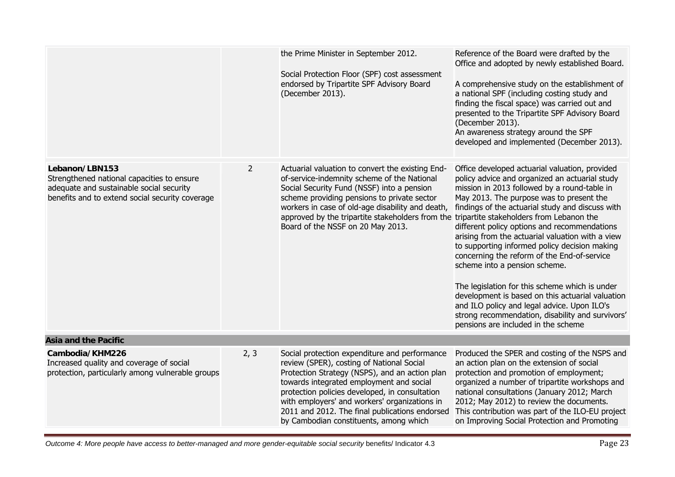|                                                                                                                                                             |                | the Prime Minister in September 2012.<br>Social Protection Floor (SPF) cost assessment<br>endorsed by Tripartite SPF Advisory Board<br>(December 2013).                                                                                                                                                                                                                                 | Reference of the Board were drafted by the<br>Office and adopted by newly established Board.<br>A comprehensive study on the establishment of<br>a national SPF (including costing study and<br>finding the fiscal space) was carried out and<br>presented to the Tripartite SPF Advisory Board<br>(December 2013).<br>An awareness strategy around the SPF<br>developed and implemented (December 2013).                                                                                                                                                                                                                                                                                                                                                                         |
|-------------------------------------------------------------------------------------------------------------------------------------------------------------|----------------|-----------------------------------------------------------------------------------------------------------------------------------------------------------------------------------------------------------------------------------------------------------------------------------------------------------------------------------------------------------------------------------------|-----------------------------------------------------------------------------------------------------------------------------------------------------------------------------------------------------------------------------------------------------------------------------------------------------------------------------------------------------------------------------------------------------------------------------------------------------------------------------------------------------------------------------------------------------------------------------------------------------------------------------------------------------------------------------------------------------------------------------------------------------------------------------------|
| Lebanon/LBN153<br>Strengthened national capacities to ensure<br>adequate and sustainable social security<br>benefits and to extend social security coverage | $\overline{2}$ | Actuarial valuation to convert the existing End-<br>of-service-indemnity scheme of the National<br>Social Security Fund (NSSF) into a pension<br>scheme providing pensions to private sector<br>workers in case of old-age disability and death,<br>approved by the tripartite stakeholders from the<br>Board of the NSSF on 20 May 2013.                                               | Office developed actuarial valuation, provided<br>policy advice and organized an actuarial study<br>mission in 2013 followed by a round-table in<br>May 2013. The purpose was to present the<br>findings of the actuarial study and discuss with<br>tripartite stakeholders from Lebanon the<br>different policy options and recommendations<br>arising from the actuarial valuation with a view<br>to supporting informed policy decision making<br>concerning the reform of the End-of-service<br>scheme into a pension scheme.<br>The legislation for this scheme which is under<br>development is based on this actuarial valuation<br>and ILO policy and legal advice. Upon ILO's<br>strong recommendation, disability and survivors'<br>pensions are included in the scheme |
| <b>Asia and the Pacific</b>                                                                                                                                 |                |                                                                                                                                                                                                                                                                                                                                                                                         |                                                                                                                                                                                                                                                                                                                                                                                                                                                                                                                                                                                                                                                                                                                                                                                   |
| Cambodia/KHM226<br>Increased quality and coverage of social<br>protection, particularly among vulnerable groups                                             | 2, 3           | Social protection expenditure and performance<br>review (SPER), costing of National Social<br>Protection Strategy (NSPS), and an action plan<br>towards integrated employment and social<br>protection policies developed, in consultation<br>with employers' and workers' organizations in<br>2011 and 2012. The final publications endorsed<br>by Cambodian constituents, among which | Produced the SPER and costing of the NSPS and<br>an action plan on the extension of social<br>protection and promotion of employment;<br>organized a number of tripartite workshops and<br>national consultations (January 2012; March<br>2012; May 2012) to review the documents.<br>This contribution was part of the ILO-EU project<br>on Improving Social Protection and Promoting                                                                                                                                                                                                                                                                                                                                                                                            |

**Outcome 4: More people have access to better-managed and more gender-equitable social security benefits/ Indicator 4.3** Page 23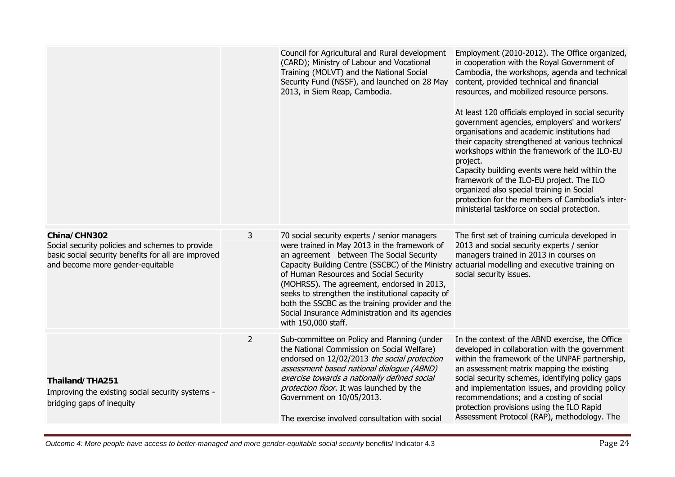|                                                                                                                                                            |                | Council for Agricultural and Rural development<br>(CARD); Ministry of Labour and Vocational<br>Training (MOLVT) and the National Social<br>Security Fund (NSSF), and launched on 28 May<br>2013, in Siem Reap, Cambodia.                                                                                                                                                                                                                                                | Employment (2010-2012). The Office organized,<br>in cooperation with the Royal Government of<br>Cambodia, the workshops, agenda and technical<br>content, provided technical and financial<br>resources, and mobilized resource persons.<br>At least 120 officials employed in social security<br>government agencies, employers' and workers'<br>organisations and academic institutions had<br>their capacity strengthened at various technical<br>workshops within the framework of the ILO-EU<br>project.<br>Capacity building events were held within the<br>framework of the ILO-EU project. The ILO<br>organized also special training in Social<br>protection for the members of Cambodia's inter-<br>ministerial taskforce on social protection. |
|------------------------------------------------------------------------------------------------------------------------------------------------------------|----------------|-------------------------------------------------------------------------------------------------------------------------------------------------------------------------------------------------------------------------------------------------------------------------------------------------------------------------------------------------------------------------------------------------------------------------------------------------------------------------|-----------------------------------------------------------------------------------------------------------------------------------------------------------------------------------------------------------------------------------------------------------------------------------------------------------------------------------------------------------------------------------------------------------------------------------------------------------------------------------------------------------------------------------------------------------------------------------------------------------------------------------------------------------------------------------------------------------------------------------------------------------|
| China/CHN302<br>Social security policies and schemes to provide<br>basic social security benefits for all are improved<br>and become more gender-equitable | 3              | 70 social security experts / senior managers<br>were trained in May 2013 in the framework of<br>an agreement between The Social Security<br>Capacity Building Centre (SSCBC) of the Ministry<br>of Human Resources and Social Security<br>(MOHRSS). The agreement, endorsed in 2013,<br>seeks to strengthen the institutional capacity of<br>both the SSCBC as the training provider and the<br>Social Insurance Administration and its agencies<br>with 150,000 staff. | The first set of training curricula developed in<br>2013 and social security experts / senior<br>managers trained in 2013 in courses on<br>actuarial modelling and executive training on<br>social security issues.                                                                                                                                                                                                                                                                                                                                                                                                                                                                                                                                       |
| Thailand/THA251<br>Improving the existing social security systems -<br>bridging gaps of inequity                                                           | $\overline{2}$ | Sub-committee on Policy and Planning (under<br>the National Commission on Social Welfare)<br>endorsed on 12/02/2013 the social protection<br>assessment based national dialogue (ABND)<br>exercise towards a nationally defined social<br>protection floor. It was launched by the<br>Government on 10/05/2013.<br>The exercise involved consultation with social                                                                                                       | In the context of the ABND exercise, the Office<br>developed in collaboration with the government<br>within the framework of the UNPAF partnership,<br>an assessment matrix mapping the existing<br>social security schemes, identifying policy gaps<br>and implementation issues, and providing policy<br>recommendations; and a costing of social<br>protection provisions using the ILO Rapid<br>Assessment Protocol (RAP), methodology. The                                                                                                                                                                                                                                                                                                           |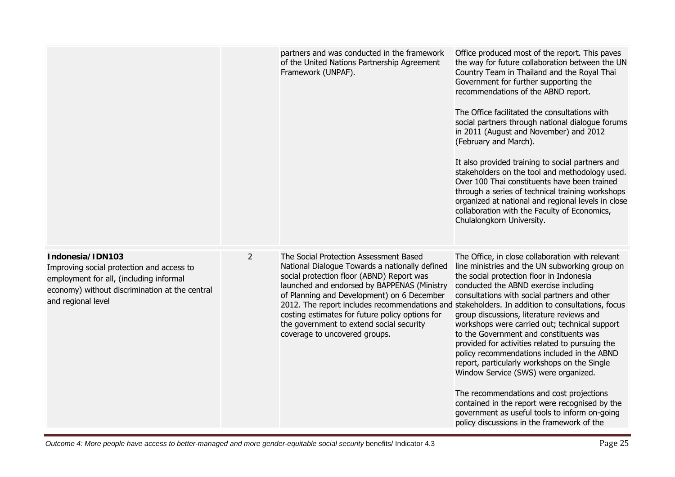|                                                                                                                                                                                  |                | partners and was conducted in the framework<br>of the United Nations Partnership Agreement<br>Framework (UNPAF).                                                                                                                                                                                                                                                   | Office produced most of the report. This paves<br>the way for future collaboration between the UN<br>Country Team in Thailand and the Royal Thai<br>Government for further supporting the<br>recommendations of the ABND report.<br>The Office facilitated the consultations with<br>social partners through national dialogue forums<br>in 2011 (August and November) and 2012<br>(February and March).<br>It also provided training to social partners and<br>stakeholders on the tool and methodology used.<br>Over 100 Thai constituents have been trained<br>through a series of technical training workshops<br>organized at national and regional levels in close<br>collaboration with the Faculty of Economics,<br>Chulalongkorn University.                                                                                                                     |
|----------------------------------------------------------------------------------------------------------------------------------------------------------------------------------|----------------|--------------------------------------------------------------------------------------------------------------------------------------------------------------------------------------------------------------------------------------------------------------------------------------------------------------------------------------------------------------------|---------------------------------------------------------------------------------------------------------------------------------------------------------------------------------------------------------------------------------------------------------------------------------------------------------------------------------------------------------------------------------------------------------------------------------------------------------------------------------------------------------------------------------------------------------------------------------------------------------------------------------------------------------------------------------------------------------------------------------------------------------------------------------------------------------------------------------------------------------------------------|
| Indonesia/IDN103<br>Improving social protection and access to<br>employment for all, (including informal<br>economy) without discrimination at the central<br>and regional level | $\overline{2}$ | The Social Protection Assessment Based<br>National Dialogue Towards a nationally defined<br>social protection floor (ABND) Report was<br>launched and endorsed by BAPPENAS (Ministry<br>of Planning and Development) on 6 December<br>costing estimates for future policy options for<br>the government to extend social security<br>coverage to uncovered groups. | The Office, in close collaboration with relevant<br>line ministries and the UN subworking group on<br>the social protection floor in Indonesia<br>conducted the ABND exercise including<br>consultations with social partners and other<br>2012. The report includes recommendations and stakeholders. In addition to consultations, focus<br>group discussions, literature reviews and<br>workshops were carried out; technical support<br>to the Government and constituents was<br>provided for activities related to pursuing the<br>policy recommendations included in the ABND<br>report, particularly workshops on the Single<br>Window Service (SWS) were organized.<br>The recommendations and cost projections<br>contained in the report were recognised by the<br>government as useful tools to inform on-going<br>policy discussions in the framework of the |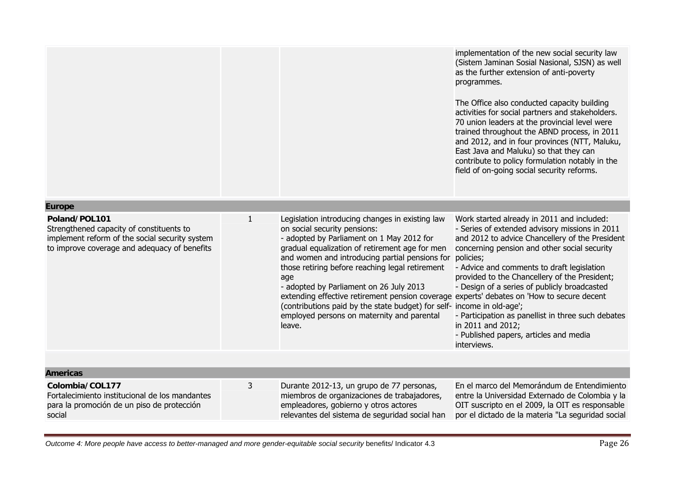|                                                                                                                                                             |              |                                                                                                                                                                                                                                                                                                                                                                                                                                                                                                                                                                      | implementation of the new social security law<br>(Sistem Jaminan Sosial Nasional, SJSN) as well<br>as the further extension of anti-poverty<br>programmes.<br>The Office also conducted capacity building<br>activities for social partners and stakeholders.<br>70 union leaders at the provincial level were<br>trained throughout the ABND process, in 2011<br>and 2012, and in four provinces (NTT, Maluku,<br>East Java and Maluku) so that they can<br>contribute to policy formulation notably in the<br>field of on-going social security reforms. |  |  |
|-------------------------------------------------------------------------------------------------------------------------------------------------------------|--------------|----------------------------------------------------------------------------------------------------------------------------------------------------------------------------------------------------------------------------------------------------------------------------------------------------------------------------------------------------------------------------------------------------------------------------------------------------------------------------------------------------------------------------------------------------------------------|------------------------------------------------------------------------------------------------------------------------------------------------------------------------------------------------------------------------------------------------------------------------------------------------------------------------------------------------------------------------------------------------------------------------------------------------------------------------------------------------------------------------------------------------------------|--|--|
| <b>Europe</b>                                                                                                                                               |              |                                                                                                                                                                                                                                                                                                                                                                                                                                                                                                                                                                      |                                                                                                                                                                                                                                                                                                                                                                                                                                                                                                                                                            |  |  |
| Poland/POL101<br>Strengthened capacity of constituents to<br>implement reform of the social security system<br>to improve coverage and adequacy of benefits | $\mathbf{1}$ | Legislation introducing changes in existing law<br>on social security pensions:<br>- adopted by Parliament on 1 May 2012 for<br>gradual equalization of retirement age for men<br>and women and introducing partial pensions for<br>those retiring before reaching legal retirement<br>age<br>- adopted by Parliament on 26 July 2013<br>extending effective retirement pension coverage experts' debates on 'How to secure decent<br>(contributions paid by the state budget) for self- income in old-age';<br>employed persons on maternity and parental<br>leave. | Work started already in 2011 and included:<br>- Series of extended advisory missions in 2011<br>and 2012 to advice Chancellery of the President<br>concerning pension and other social security<br>policies;<br>- Advice and comments to draft legislation<br>provided to the Chancellery of the President;<br>- Design of a series of publicly broadcasted<br>- Participation as panellist in three such debates<br>in 2011 and 2012;<br>- Published papers, articles and media<br>interviews.                                                            |  |  |
| <b>Americas</b>                                                                                                                                             |              |                                                                                                                                                                                                                                                                                                                                                                                                                                                                                                                                                                      |                                                                                                                                                                                                                                                                                                                                                                                                                                                                                                                                                            |  |  |
| Colombia/COL177                                                                                                                                             | 3            | Durante 2012-13, un grupo de 77 personas,                                                                                                                                                                                                                                                                                                                                                                                                                                                                                                                            | En el marco del Memorándum de Entendimiento                                                                                                                                                                                                                                                                                                                                                                                                                                                                                                                |  |  |
| Fortalecimiento institucional de los mandantes<br>para la promoción de un piso de protección<br>social                                                      |              | miembros de organizaciones de trabajadores,<br>empleadores, gobierno y otros actores<br>relevantes del sistema de seguridad social han                                                                                                                                                                                                                                                                                                                                                                                                                               | entre la Universidad Externado de Colombia y la<br>OIT suscripto en el 2009, la OIT es responsable<br>por el dictado de la materia "La seguridad social                                                                                                                                                                                                                                                                                                                                                                                                    |  |  |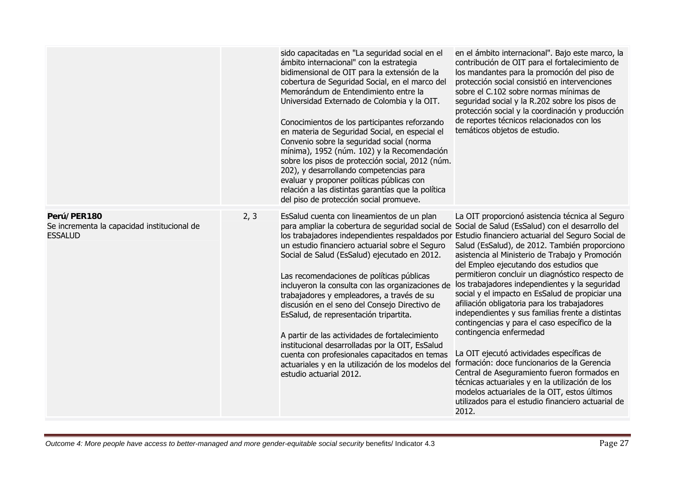|                                                                              |      | sido capacitadas en "La seguridad social en el<br>ámbito internacional" con la estrategia<br>bidimensional de OIT para la extensión de la<br>cobertura de Seguridad Social, en el marco del<br>Memorándum de Entendimiento entre la<br>Universidad Externado de Colombia y la OIT.<br>Conocimientos de los participantes reforzando<br>en materia de Seguridad Social, en especial el<br>Convenio sobre la seguridad social (norma<br>mínima), 1952 (núm. 102) y la Recomendación<br>sobre los pisos de protección social, 2012 (núm.<br>202), y desarrollando competencias para<br>evaluar y proponer políticas públicas con<br>relación a las distintas garantías que la política<br>del piso de protección social promueve.     | en el ámbito internacional". Bajo este marco, la<br>contribución de OIT para el fortalecimiento de<br>los mandantes para la promoción del piso de<br>protección social consistió en intervenciones<br>sobre el C.102 sobre normas mínimas de<br>seguridad social y la R.202 sobre los pisos de<br>protección social y la coordinación y producción<br>de reportes técnicos relacionados con los<br>temáticos objetos de estudio.                                                                                                                                                                                                                                                                                                                                                                                                                                                                                                                        |
|------------------------------------------------------------------------------|------|------------------------------------------------------------------------------------------------------------------------------------------------------------------------------------------------------------------------------------------------------------------------------------------------------------------------------------------------------------------------------------------------------------------------------------------------------------------------------------------------------------------------------------------------------------------------------------------------------------------------------------------------------------------------------------------------------------------------------------|---------------------------------------------------------------------------------------------------------------------------------------------------------------------------------------------------------------------------------------------------------------------------------------------------------------------------------------------------------------------------------------------------------------------------------------------------------------------------------------------------------------------------------------------------------------------------------------------------------------------------------------------------------------------------------------------------------------------------------------------------------------------------------------------------------------------------------------------------------------------------------------------------------------------------------------------------------|
| Perú/PER180<br>Se incrementa la capacidad institucional de<br><b>ESSALUD</b> | 2, 3 | EsSalud cuenta con lineamientos de un plan<br>para ampliar la cobertura de seguridad social de Social de Salud (EsSalud) con el desarrollo del<br>un estudio financiero actuarial sobre el Seguro<br>Social de Salud (EsSalud) ejecutado en 2012.<br>Las recomendaciones de políticas públicas<br>incluyeron la consulta con las organizaciones de<br>trabajadores y empleadores, a través de su<br>discusión en el seno del Consejo Directivo de<br>EsSalud, de representación tripartita.<br>A partir de las actividades de fortalecimiento<br>institucional desarrolladas por la OIT, EsSalud<br>cuenta con profesionales capacitados en temas<br>actuariales y en la utilización de los modelos del<br>estudio actuarial 2012. | La OIT proporcionó asistencia técnica al Seguro<br>los trabajadores independientes respaldados por Estudio financiero actuarial del Seguro Social de<br>Salud (EsSalud), de 2012. También proporciono<br>asistencia al Ministerio de Trabajo y Promoción<br>del Empleo ejecutando dos estudios que<br>permitieron concluir un diagnóstico respecto de<br>los trabajadores independientes y la seguridad<br>social y el impacto en EsSalud de propiciar una<br>afiliación obligatoria para los trabajadores<br>independientes y sus familias frente a distintas<br>contingencias y para el caso específico de la<br>contingencia enfermedad<br>La OIT ejecutó actividades específicas de<br>formación: doce funcionarios de la Gerencia<br>Central de Aseguramiento fueron formados en<br>técnicas actuariales y en la utilización de los<br>modelos actuariales de la OIT, estos últimos<br>utilizados para el estudio financiero actuarial de<br>2012. |